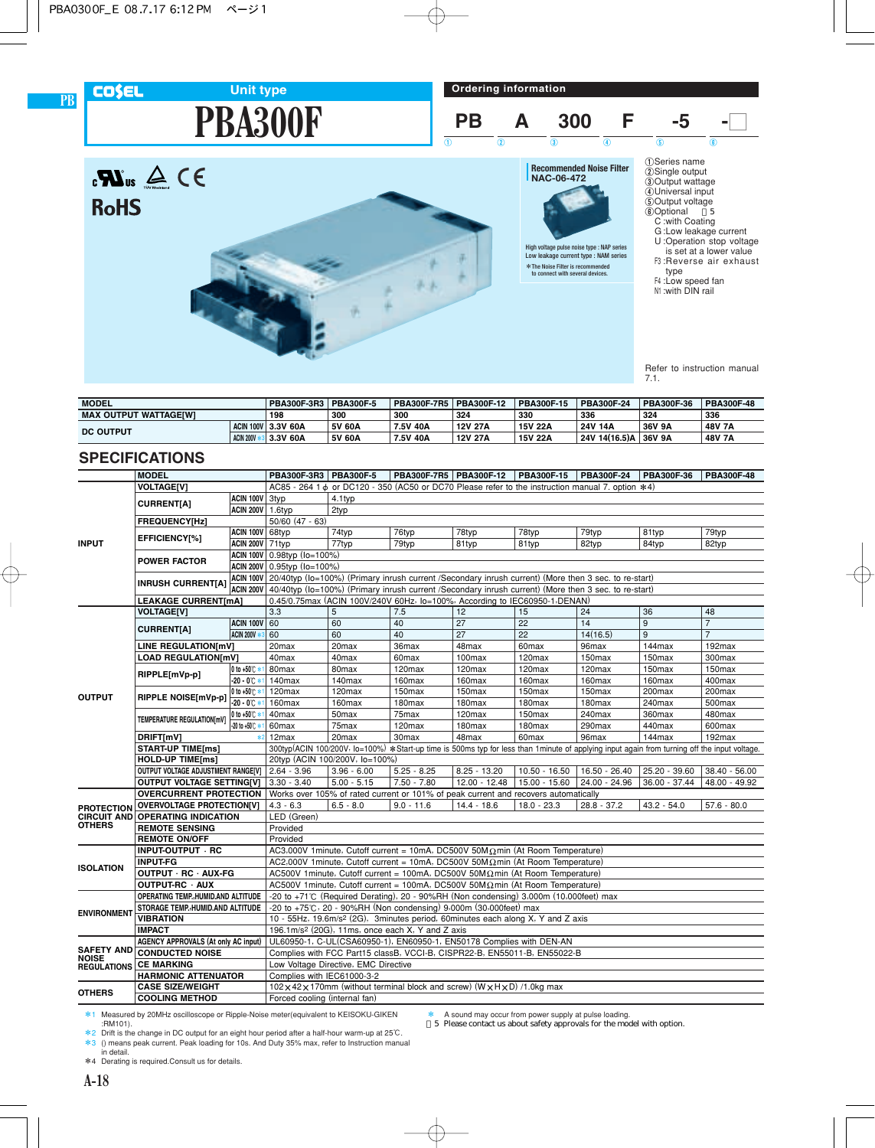

**PB**

# **PBA300F Unit type**





Refer to instruction manual 7.1.

| <b>MODEL</b>                 |  | PBA300F-3R3   PBA300F-5 |        | PBA300F-7R5 | <b>PBA300F-12</b> | PBA300F-15 | PBA300F-24    | PBA300F-36 | PBA300F-48 |
|------------------------------|--|-------------------------|--------|-------------|-------------------|------------|---------------|------------|------------|
| <b>MAX OUTPUT WATTAGEIWI</b> |  | 198                     | 300    | 300         | 324               | 330        | 336           | 324        | 336        |
| <b>DC OUTPUT</b>             |  | ACIN 100V 3.3V 60A      | 5V 60A | 7.5V 40A    | 12V 27A           | 15V 22A    | 24V 14A       | 36V 9A     | 48V 7A     |
| <b>ACIN 200V</b>             |  | 3.3V 60A                | 5V 60A | 7.5V 40A    | 12V 27A           | 15V 22A    | 24V 14(16.5)A | 36V 9A     | 48V 7A     |

### **SPECIFICATIONS**

|                                     | <b>MODEL</b>                                         |                          | PBA300F-3R3   PBA300F-5                                                                                        |                                                                                                                | PBA300F-7R5 PBA300F-12                                                                                                                       |                 | PBA300F-15        | PBA300F-24         | PBA300F-36      | PBA300F-48         |  |  |
|-------------------------------------|------------------------------------------------------|--------------------------|----------------------------------------------------------------------------------------------------------------|----------------------------------------------------------------------------------------------------------------|----------------------------------------------------------------------------------------------------------------------------------------------|-----------------|-------------------|--------------------|-----------------|--------------------|--|--|
|                                     | <b>VOLTAGEIVI</b>                                    |                          |                                                                                                                |                                                                                                                | AC85 - 264 1 $\phi$ or DC120 - 350 (AC50 or DC70 Please refer to the instruction manual 7, option $*4$ )                                     |                 |                   |                    |                 |                    |  |  |
|                                     |                                                      | ACIN 100V 3typ           |                                                                                                                | 4.1typ                                                                                                         |                                                                                                                                              |                 |                   |                    |                 |                    |  |  |
|                                     | <b>CURRENT[A]</b>                                    | ACIN 200V 1.6typ         |                                                                                                                | 2typ                                                                                                           |                                                                                                                                              |                 |                   |                    |                 |                    |  |  |
|                                     | FREQUENCY[Hz]                                        |                          | $50/60$ (47 - 63)                                                                                              |                                                                                                                |                                                                                                                                              |                 |                   |                    |                 |                    |  |  |
|                                     | EFFICIENCY[%]                                        | ACIN 100V 68typ          |                                                                                                                | 74typ                                                                                                          | 76typ                                                                                                                                        | 78typ           | 78typ             | 79typ              | 81typ           | 79typ              |  |  |
| <b>INPUT</b>                        |                                                      | <b>ACIN 200V 71typ</b>   |                                                                                                                | 77typ                                                                                                          | 79typ                                                                                                                                        | 81typ           | 81typ             | 82typ              | 84typ           | 82typ              |  |  |
|                                     | <b>POWER FACTOR</b>                                  |                          |                                                                                                                | ACIN 100V 0.98typ (lo=100%)                                                                                    |                                                                                                                                              |                 |                   |                    |                 |                    |  |  |
|                                     |                                                      |                          | ACIN 200V 0.95typ (lo=100%)                                                                                    |                                                                                                                |                                                                                                                                              |                 |                   |                    |                 |                    |  |  |
|                                     | <b>INRUSH CURRENT[A]</b>                             |                          | ACIN 100V 20/40typ (Io=100%) (Primary inrush current /Secondary inrush current) (More then 3 sec. to re-start) |                                                                                                                |                                                                                                                                              |                 |                   |                    |                 |                    |  |  |
|                                     |                                                      |                          |                                                                                                                | ACIN 200V 40/40typ (Io=100%) (Primary inrush current /Secondary inrush current) (More then 3 sec. to re-start) |                                                                                                                                              |                 |                   |                    |                 |                    |  |  |
|                                     | <b>LEAKAGE CURRENT[mA]</b>                           |                          | 0.45/0.75max (ACIN 100V/240V 60Hz, lo=100%, According to IEC60950-1, DENAN)                                    |                                                                                                                |                                                                                                                                              |                 |                   |                    |                 |                    |  |  |
|                                     | <b>VOLTAGE[V]</b>                                    |                          | 3.3                                                                                                            | 5                                                                                                              | 7.5                                                                                                                                          | 12              | 15                | 24                 | 36              | 48                 |  |  |
|                                     | <b>CURRENT[A]</b>                                    | <b>ACIN 100V 60</b>      |                                                                                                                | 60                                                                                                             | 40                                                                                                                                           | 27              | 22                | 14                 | 9               | $\overline{7}$     |  |  |
|                                     |                                                      | <b>ACIN 200V *</b>       | 60                                                                                                             | 60                                                                                                             | 40                                                                                                                                           | 27              | 22                | 14(16.5)           | 9               | $\overline{7}$     |  |  |
|                                     | LINE REGULATION[mV]                                  |                          | 20 <sub>max</sub>                                                                                              | 20max                                                                                                          | 36max                                                                                                                                        | 48max           | 60max             | 96max              | 144max          | 192max             |  |  |
|                                     | <b>LOAD REGULATION[mV]</b>                           |                          | 40max                                                                                                          | 40max                                                                                                          | 60max                                                                                                                                        | 100max          | 120max            | 150max             | 150max          | 300max             |  |  |
|                                     | RIPPLE[mVp-p]                                        | 0 to +50℃ *1             | 80max                                                                                                          | 80 <sub>max</sub>                                                                                              | 120max                                                                                                                                       | 120max          | 120max            | 120 <sub>max</sub> | 150max          | 150 <sub>max</sub> |  |  |
|                                     |                                                      | $-20 - 0^{\circ}$        | 140max                                                                                                         | 140max                                                                                                         | 160max                                                                                                                                       | 160max          | 160max            | 160max             | 160max          | 400max             |  |  |
| <b>OUTPUT</b>                       | RIPPLE NOISE[mVp-p]                                  | 0 to +50℃ *              | 120max                                                                                                         | 120max                                                                                                         | 150max                                                                                                                                       | 150max          | 150max            | 150max             | 200max          | 200max             |  |  |
|                                     |                                                      | $-20 - 0$ <sup>*</sup>   | 160max                                                                                                         | 160max                                                                                                         | 180max                                                                                                                                       | 180max          | 180max            | 180max             | 240max          | 500max             |  |  |
|                                     | TEMPERATURE REGULATION[mV]                           | 0 to +50℃ *              | 40max                                                                                                          | 50 <sub>max</sub>                                                                                              | 75max                                                                                                                                        | 120max          | 150max            | 240max             | 360max          | 480max             |  |  |
|                                     |                                                      | $-20$ to $+50^{\circ}$ * | 60 <sub>max</sub>                                                                                              | 75max                                                                                                          | 120max                                                                                                                                       | 180max          | 180max            | 290max             | 440max          | 600max             |  |  |
|                                     | DRIFT[mV]                                            |                          | 12 <sub>max</sub>                                                                                              | 20 <sub>max</sub>                                                                                              | 30 <sub>max</sub>                                                                                                                            | 48max           | 60 <sub>max</sub> | 96max              | 144max          | 192max             |  |  |
|                                     | <b>START-UP TIME[ms]</b>                             |                          |                                                                                                                |                                                                                                                | 300typ(ACIN 100/200V, lo=100%) *Start-up time is 500ms typ for less than 1minute of applying input again from turning off the input voltage. |                 |                   |                    |                 |                    |  |  |
|                                     | <b>HOLD-UP TIME[ms]</b>                              |                          |                                                                                                                | 20typ (ACIN 100/200V, lo=100%)                                                                                 |                                                                                                                                              |                 |                   |                    |                 |                    |  |  |
|                                     | OUTPUT VOLTAGE ADJUSTMENT RANGE[V]                   |                          | $2.64 - 3.96$                                                                                                  | $3.96 - 6.00$                                                                                                  | $5.25 - 8.25$                                                                                                                                | $8.25 - 13.20$  | $10.50 - 16.50$   | $16.50 - 26.40$    | 25.20 - 39.60   | $38.40 - 56.00$    |  |  |
|                                     | <b>OUTPUT VOLTAGE SETTING[V]</b>                     |                          | $3.30 - 3.40$                                                                                                  | $5.00 - 5.15$                                                                                                  | $7.50 - 7.80$                                                                                                                                | $12.00 - 12.48$ | 15.00 - 15.60     | 24.00 - 24.96      | $36.00 - 37.44$ | 48.00 - 49.92      |  |  |
|                                     | <b>OVERCURRENT PROTECTION</b>                        |                          |                                                                                                                |                                                                                                                | Works over 105% of rated current or 101% of peak current and recovers automatically                                                          |                 |                   |                    |                 |                    |  |  |
| <b>PROTECTION</b>                   | <b>OVERVOLTAGE PROTECTION[V]</b>                     |                          | $4.3 - 6.3$                                                                                                    | $6.5 - 8.0$                                                                                                    | $9.0 - 11.6$                                                                                                                                 | $14.4 - 18.6$   | 18.0 - 23.3       | $28.8 - 37.2$      | $43.2 - 54.0$   | $57.6 - 80.0$      |  |  |
| <b>CIRCUIT AND</b><br><b>OTHERS</b> | <b>OPERATING INDICATION</b><br><b>REMOTE SENSING</b> |                          | LED (Green)                                                                                                    |                                                                                                                |                                                                                                                                              |                 |                   |                    |                 |                    |  |  |
|                                     |                                                      |                          | Provided                                                                                                       |                                                                                                                |                                                                                                                                              |                 |                   |                    |                 |                    |  |  |
|                                     | <b>REMOTE ON/OFF</b><br>INPUT-OUTPUT · RC            |                          | Provided                                                                                                       |                                                                                                                | AC3,000V 1minute, Cutoff current = 10mA, DC500V 50M $\Omega$ min (At Room Temperature)                                                       |                 |                   |                    |                 |                    |  |  |
|                                     | <b>INPUT-FG</b>                                      |                          |                                                                                                                |                                                                                                                | AC2,000V 1minute, Cutoff current = 10mA, DC500V 50M $\Omega$ min (At Room Temperature)                                                       |                 |                   |                    |                 |                    |  |  |
| <b>ISOLATION</b>                    | OUTPUT · RC · AUX-FG                                 |                          |                                                                                                                |                                                                                                                | AC500V 1minute, Cutoff current = 100mA, DC500V 50M $\Omega$ min (At Room Temperature)                                                        |                 |                   |                    |                 |                    |  |  |
|                                     | OUTPUT-RC · AUX                                      |                          |                                                                                                                |                                                                                                                | AC500V 1minute, Cutoff current = 100mA, DC500V 50M $\Omega$ min (At Room Temperature)                                                        |                 |                   |                    |                 |                    |  |  |
|                                     | OPERATING TEMP. HUMID.AND ALTITUDE                   |                          |                                                                                                                |                                                                                                                | -20 to +71°C (Required Derating), 20 - 90%RH (Non condensing) 3,000m (10,000feet) max                                                        |                 |                   |                    |                 |                    |  |  |
|                                     | STORAGE TEMP., HUMID. AND ALTITUDE                   |                          |                                                                                                                |                                                                                                                | -20 to +75°C, 20 - 90%RH (Non condensing) 9,000m (30,000feet) max                                                                            |                 |                   |                    |                 |                    |  |  |
| <b>ENVIRONMENT</b>                  | <b>VIBRATION</b>                                     |                          |                                                                                                                |                                                                                                                | 10 - 55Hz, 19.6m/s <sup>2</sup> (2G), 3minutes period, 60minutes each along X, Y and Z axis                                                  |                 |                   |                    |                 |                    |  |  |
|                                     | <b>IMPACT</b>                                        |                          |                                                                                                                |                                                                                                                | 196.1m/s <sup>2</sup> (20G), 11ms, once each X, Y and Z axis                                                                                 |                 |                   |                    |                 |                    |  |  |
|                                     | AGENCY APPROVALS (At only AC input)                  |                          |                                                                                                                |                                                                                                                | UL60950-1, C-UL(CSA60950-1), EN60950-1, EN50178 Complies with DEN-AN                                                                         |                 |                   |                    |                 |                    |  |  |
| <b>SAFETY AND</b>                   | <b>CONDUCTED NOISE</b>                               |                          |                                                                                                                |                                                                                                                | Complies with FCC Part15 classB, VCCI-B, CISPR22-B, EN55011-B, EN55022-B                                                                     |                 |                   |                    |                 |                    |  |  |
| <b>NOISE</b><br><b>REGULATIONS</b>  | <b>CE MARKING</b>                                    |                          |                                                                                                                | Low Voltage Directive, EMC Directive                                                                           |                                                                                                                                              |                 |                   |                    |                 |                    |  |  |
|                                     | <b>HARMONIC ATTENUATOR</b>                           |                          | Complies with IEC61000-3-2                                                                                     |                                                                                                                |                                                                                                                                              |                 |                   |                    |                 |                    |  |  |
|                                     | <b>CASE SIZE/WEIGHT</b>                              |                          |                                                                                                                |                                                                                                                | $102 \times 42 \times 170$ mm (without terminal block and screw) (W $\times$ H $\times$ D) /1.0kg max                                        |                 |                   |                    |                 |                    |  |  |
| <b>OTHERS</b>                       | <b>COOLING METHOD</b>                                |                          | Forced cooling (internal fan)                                                                                  |                                                                                                                |                                                                                                                                              |                 |                   |                    |                 |                    |  |  |
|                                     |                                                      |                          |                                                                                                                |                                                                                                                |                                                                                                                                              |                 |                   |                    |                 |                    |  |  |

\* A sound may occur from power supply at pulse loading. \*5 Please contact us about safety approvals for the model with option.

\*1 Measured by 20MHz oscilloscope or Ripple-Noise meter(equivalent to KEISOKU-GIKEN :RM101).

\*2 Drift is the change in DC output for an eight hour period after a half-hour warm-up at 25°C. \*3 () means peak current. Peak loading for 10s. And Duty 35% max, refer to Instruction manual in detail.

\*4 Derating is required.Consult us for details.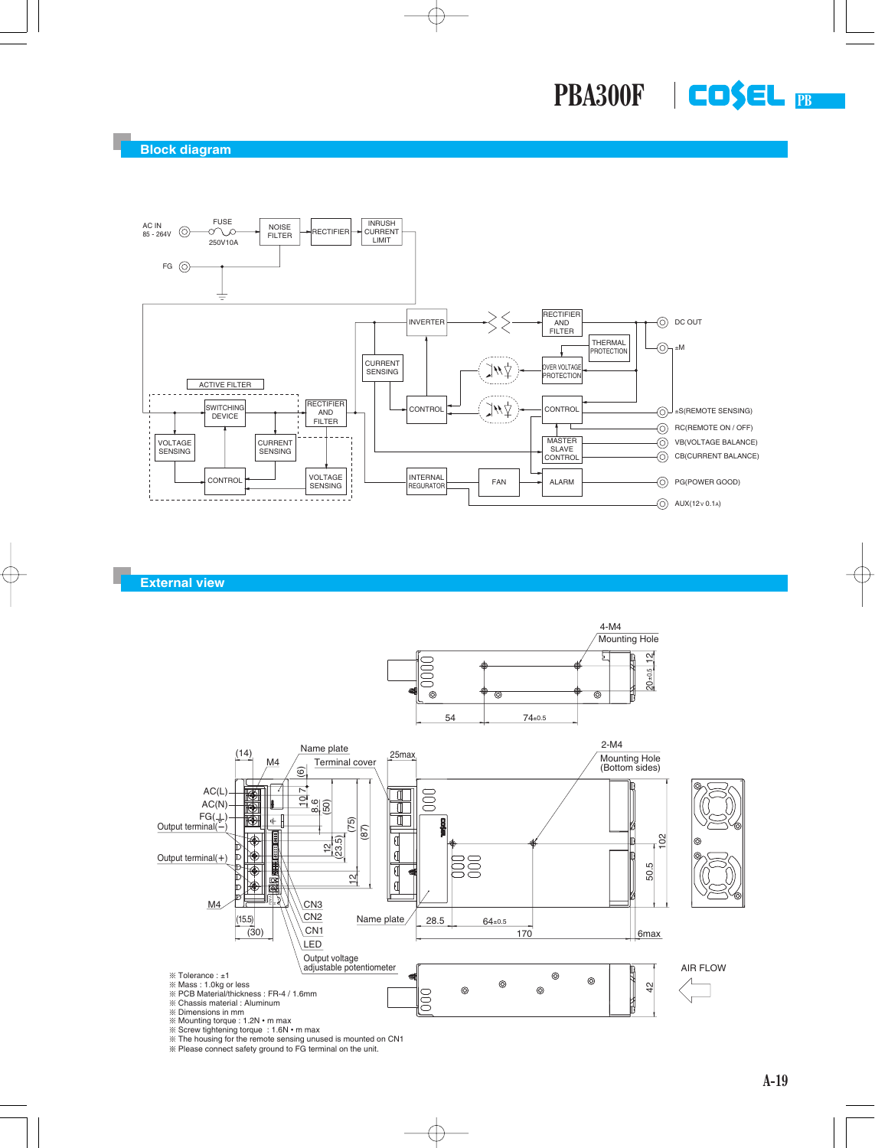

**External view**



¶ The housing for the remote sensing unused is mounted on CN1 ¶ Please connect safety ground to FG terminal on the unit.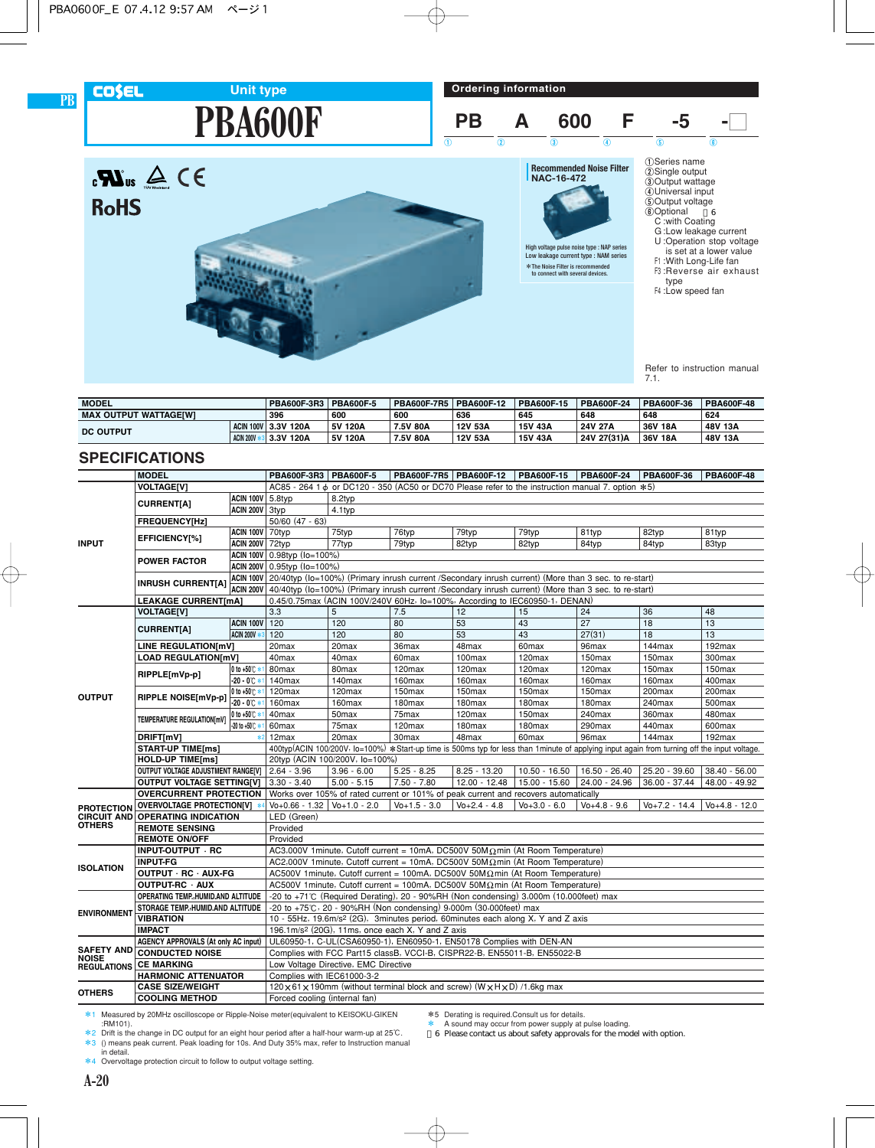





High voltage pulse noise type : NAP series Low leakage current type : NAM series \*The Noise Filter is recommended \*to connect with several devices.

4Universal input 5Output voltage 6Optional \*6

- 
- C :with Coating
- G :Low leakage current U :Operation stop voltage
- is set at a lower value F1 :With Long-Life fan F3 :Reverse air exhaust type
- F4 :Low speed fan

Refer to instruction manual 7.1.

| <b>MODEL</b>          |  | PBA600F-3R3   PBA600F-5 |         | <b>PBA600F-7R5</b> | PBA600F-12 | PBA600F-15 | <b>PBA600F-24</b> | PBA600F-36 | <b>PBA600F-48</b> |
|-----------------------|--|-------------------------|---------|--------------------|------------|------------|-------------------|------------|-------------------|
| MAX OUTPUT WATTAGEIWI |  | 396                     | 600     | 600                | 636        | 645        | 648               | 648        | 624               |
| <b>DC OUTPUT</b>      |  | ACIN 100V 3.3V 120A     | 5V 120A | 7.5V 80A           | 12V 53A    | 15V 43A    | 24V 27A           | 36V 18A    | 48V 13A           |
| ACIN 200V             |  | 3.3V 120A               | 5V 120A | 7.5V 80A           | 12V 53A    | 15V 43A    | 24V 27(31)A       | 36V 18A    | 48V 13A           |

## **SPECIFICATIONS**

**PB**

**COSEL** 

|                    | <b>MODEL</b>                                           |                           | PBA600F-3R3   PBA600F-5                                                                                                                                                             |                                | PBA600F-7R5 PBA600F-12                                                                                                                                     |                    | PBA600F-15         | PBA600F-24         | PBA600F-36         | PBA600F-48       |  |  |
|--------------------|--------------------------------------------------------|---------------------------|-------------------------------------------------------------------------------------------------------------------------------------------------------------------------------------|--------------------------------|------------------------------------------------------------------------------------------------------------------------------------------------------------|--------------------|--------------------|--------------------|--------------------|------------------|--|--|
|                    | <b>VOLTAGE[V]</b>                                      |                           |                                                                                                                                                                                     |                                | AC85 - 264 1 $\phi$ or DC120 - 350 (AC50 or DC70 Please refer to the instruction manual 7. option $*5$ )                                                   |                    |                    |                    |                    |                  |  |  |
|                    | <b>CURRENT[A]</b>                                      | <b>ACIN 100V 5.8typ</b>   |                                                                                                                                                                                     | 8.2typ                         |                                                                                                                                                            |                    |                    |                    |                    |                  |  |  |
|                    |                                                        | ACIN 200V 3typ            | 4.1typ                                                                                                                                                                              |                                |                                                                                                                                                            |                    |                    |                    |                    |                  |  |  |
|                    | <b>FREQUENCY[Hz]</b>                                   |                           | $50/60$ $(47 - 63)$                                                                                                                                                                 |                                |                                                                                                                                                            |                    |                    |                    |                    |                  |  |  |
| <b>INPUT</b>       | EFFICIENCY[%]                                          | <b>ACIN 100V</b> 70typ    |                                                                                                                                                                                     | 75typ                          | 76typ                                                                                                                                                      | 79typ              | 79typ              | 81typ              | 82typ              | 81typ            |  |  |
|                    |                                                        | <b>ACIN 200V 72typ</b>    |                                                                                                                                                                                     | 77typ                          | 79typ                                                                                                                                                      | 82typ              | 82typ              | 84typ              | 84typ              | 83typ            |  |  |
|                    | <b>POWER FACTOR</b>                                    |                           | ACIN 100V 0.98typ (lo=100%)                                                                                                                                                         |                                |                                                                                                                                                            |                    |                    |                    |                    |                  |  |  |
|                    |                                                        |                           | ACIN 200V 0.95typ (Io=100%)<br>ACIN 100V 20/40typ (lo=100%) (Primary inrush current /Secondary inrush current) (More than 3 sec. to re-start)                                       |                                |                                                                                                                                                            |                    |                    |                    |                    |                  |  |  |
|                    | <b>INRUSH CURRENT[A]</b>                               |                           |                                                                                                                                                                                     |                                |                                                                                                                                                            |                    |                    |                    |                    |                  |  |  |
|                    |                                                        | <b>ACIN 200V</b>          | 40/40typ (lo=100%) (Primary inrush current /Secondary inrush current) (More than 3 sec. to re-start)<br>0.45/0.75max (ACIN 100V/240V 60Hz, lo=100%, According to IEC60950-1, DENAN) |                                |                                                                                                                                                            |                    |                    |                    |                    |                  |  |  |
|                    | <b>LEAKAGE CURRENT[mA]</b>                             |                           |                                                                                                                                                                                     |                                |                                                                                                                                                            |                    |                    |                    |                    |                  |  |  |
|                    | <b>VOLTAGE[V]</b>                                      |                           | 3.3                                                                                                                                                                                 | 5                              | 7.5                                                                                                                                                        | 12                 | 15                 | 24                 | 36                 | 48               |  |  |
|                    | <b>CURRENT[A]</b>                                      | ACIN 100V 120             |                                                                                                                                                                                     | 120                            | 80                                                                                                                                                         | 53                 | 43                 | 27                 | 18                 | 13               |  |  |
|                    |                                                        | <b>ACIN 200V *</b>        | 120                                                                                                                                                                                 | 120                            | 80                                                                                                                                                         | 53                 | 43                 | 27(31)             | 18                 | 13               |  |  |
|                    | LINE REGULATION[mV]                                    |                           | 20 <sub>max</sub>                                                                                                                                                                   | 20 <sub>max</sub>              | 36max                                                                                                                                                      | 48max              | 60 <sub>max</sub>  | 96max              | 144max             | 192max           |  |  |
| <b>OUTPUT</b>      | <b>LOAD REGULATION[mV]</b>                             |                           | 40max                                                                                                                                                                               | 40max                          | 60max                                                                                                                                                      | 100max             | 120max             | 150max             | 150max             | 300max           |  |  |
|                    | RIPPLE[mVp-p]                                          | 0 to +50℃ *<br>-20 - 0℃ * | 80max<br>140max                                                                                                                                                                     | 80max<br>140max                | 120max<br>160max                                                                                                                                           | 120max<br>160max   | 120max<br>160max   | 120max<br>160max   | 150max<br>160max   | 150max<br>400max |  |  |
|                    |                                                        | 0 to +50℃ *1              | 120max                                                                                                                                                                              | 120max                         | 150max                                                                                                                                                     | 150max             | 150max             | 150max             | 200max             | 200max           |  |  |
|                    | RIPPLE NOISE[mVp-p]                                    | $-20 - 0$ $+$             | 160max                                                                                                                                                                              | 160max                         | 180 <sub>max</sub>                                                                                                                                         | 180 <sub>max</sub> | 180 <sub>max</sub> | 180 <sub>max</sub> | 240max             | 500max           |  |  |
|                    |                                                        | 0 to +50℃ *               | 40max                                                                                                                                                                               | 50 <sub>max</sub>              | 75max                                                                                                                                                      | 120max             | 150max             | 240max             | 360max             | 480max           |  |  |
|                    | TEMPERATURE REGULATION[mV]                             | $-20$ to $+50^{\circ}$ *  | 60max                                                                                                                                                                               | 75max                          | 120max                                                                                                                                                     | 180max             | 180max             | 290max             | 440max             | 600max           |  |  |
|                    | DRIFT[mV]<br>$*2$                                      |                           | 12 <sub>max</sub>                                                                                                                                                                   | 20 <sub>max</sub>              | 30 <sub>max</sub>                                                                                                                                          | 48max              | 60 <sub>max</sub>  | 96max              | $144$ max          | 192max           |  |  |
|                    | <b>START-UP TIME[ms]</b>                               |                           |                                                                                                                                                                                     |                                | 400typ(ACIN 100/200V, lo=100%) *Start-up time is 500ms typ for less than 1minute of applying input again from turning off the input voltage.               |                    |                    |                    |                    |                  |  |  |
|                    | <b>HOLD-UP TIME[ms]</b>                                |                           |                                                                                                                                                                                     | 20typ (ACIN 100/200V, lo=100%) |                                                                                                                                                            |                    |                    |                    |                    |                  |  |  |
|                    | OUTPUT VOLTAGE ADJUSTMENT RANGE[V]   2.64 - 3.96       |                           |                                                                                                                                                                                     | $3.96 - 6.00$                  | $5.25 - 8.25$                                                                                                                                              | $8.25 - 13.20$     | $10.50 - 16.50$    | $16.50 - 26.40$    | 25.20 - 39.60      | 38.40 - 56.00    |  |  |
|                    | OUTPUT VOLTAGE SETTING[V] 3.30 - 3.40                  |                           |                                                                                                                                                                                     | $5.00 - 5.15$                  | $7.50 - 7.80$                                                                                                                                              | $12.00 - 12.48$    | $15.00 - 15.60$    | 24.00 - 24.96      | 36.00 - 37.44      | 48.00 - 49.92    |  |  |
|                    | <b>OVERCURRENT PROTECTION</b>                          |                           |                                                                                                                                                                                     |                                | Works over 105% of rated current or 101% of peak current and recovers automatically                                                                        |                    |                    |                    |                    |                  |  |  |
| <b>PROTECTION</b>  | OVERVOLTAGE PROTECTION[V] *                            |                           | $Vo + 0.66 - 1.32$   $Vo + 1.0 - 2.0$                                                                                                                                               |                                | $V_0 + 1.5 - 3.0$                                                                                                                                          | $V_0 + 2.4 - 4.8$  | $V_0 + 3.0 - 6.0$  | $V_0 + 4.8 - 9.6$  | $V_0 + 7.2 - 14.4$ | $V_0+4.8 - 12.0$ |  |  |
| <b>CIRCUIT AND</b> | <b>OPERATING INDICATION</b>                            |                           | LED (Green)                                                                                                                                                                         |                                |                                                                                                                                                            |                    |                    |                    |                    |                  |  |  |
| <b>OTHERS</b>      | <b>REMOTE SENSING</b>                                  |                           | Provided                                                                                                                                                                            |                                |                                                                                                                                                            |                    |                    |                    |                    |                  |  |  |
|                    | <b>REMOTE ON/OFF</b>                                   |                           | Provided                                                                                                                                                                            |                                |                                                                                                                                                            |                    |                    |                    |                    |                  |  |  |
|                    | INPUT-OUTPUT RC                                        |                           |                                                                                                                                                                                     |                                | AC3,000V 1minute, Cutoff current = 10mA, DC500V 50M $\Omega$ min (At Room Temperature)                                                                     |                    |                    |                    |                    |                  |  |  |
| <b>ISOLATION</b>   | <b>INPUT-FG</b>                                        |                           |                                                                                                                                                                                     |                                | AC2,000V 1minute, Cutoff current = 10mA, DC500V 50M $\Omega$ min (At Room Temperature)                                                                     |                    |                    |                    |                    |                  |  |  |
|                    | OUTPUT · RC · AUX-FG                                   |                           |                                                                                                                                                                                     |                                | AC500V 1minute, Cutoff current = 100mA, DC500V 50M $\Omega$ min (At Room Temperature)                                                                      |                    |                    |                    |                    |                  |  |  |
|                    | OUTPUT-RC · AUX                                        |                           |                                                                                                                                                                                     |                                | AC500V 1minute, Cutoff current = 100mA, DC500V 50M $\Omega$ min (At Room Temperature)                                                                      |                    |                    |                    |                    |                  |  |  |
|                    | OPERATING TEMP., HUMID.AND ALTITUDE                    |                           |                                                                                                                                                                                     |                                | -20 to +71°C (Required Derating), 20 - 90%RH (Non condensing) 3,000m (10,000feet) max<br>-20 to +75°C, 20 - 90%RH (Non condensing) 9,000m (30,000feet) max |                    |                    |                    |                    |                  |  |  |
| <b>ENVIRONMENT</b> | STORAGE TEMP., HUMID. AND ALTITUDE<br><b>VIBRATION</b> |                           |                                                                                                                                                                                     |                                | 10 - 55Hz, 19.6m/s <sup>2</sup> (2G), 3minutes period, 60minutes each along X, Y and Z axis                                                                |                    |                    |                    |                    |                  |  |  |
|                    | <b>IMPACT</b>                                          |                           |                                                                                                                                                                                     |                                | 196.1m/s <sup>2</sup> (20G), 11ms, once each X, Y and Z axis                                                                                               |                    |                    |                    |                    |                  |  |  |
|                    | AGENCY APPROVALS (At only AC input)                    |                           |                                                                                                                                                                                     |                                | UL60950-1, C-UL(CSA60950-1), EN60950-1, EN50178 Complies with DEN-AN                                                                                       |                    |                    |                    |                    |                  |  |  |
| <b>SAFETY AND</b>  | <b>CONDUCTED NOISE</b>                                 |                           |                                                                                                                                                                                     |                                |                                                                                                                                                            |                    |                    |                    |                    |                  |  |  |
| <b>NOISE</b>       | <b>CE MARKING</b>                                      |                           | Complies with FCC Part15 classB, VCCI-B, CISPR22-B, EN55011-B, EN55022-B<br>Low Voltage Directive, EMC Directive                                                                    |                                |                                                                                                                                                            |                    |                    |                    |                    |                  |  |  |
| <b>REGULATIONS</b> | <b>HARMONIC ATTENUATOR</b>                             |                           | Complies with IEC61000-3-2                                                                                                                                                          |                                |                                                                                                                                                            |                    |                    |                    |                    |                  |  |  |
|                    | <b>CASE SIZE/WEIGHT</b>                                |                           |                                                                                                                                                                                     |                                | 120 x 61 x 190mm (without terminal block and screw) (W x H x D) /1.6kg max                                                                                 |                    |                    |                    |                    |                  |  |  |
| <b>OTHERS</b>      | <b>COOLING METHOD</b>                                  |                           | Forced cooling (internal fan)                                                                                                                                                       |                                |                                                                                                                                                            |                    |                    |                    |                    |                  |  |  |
|                    |                                                        |                           |                                                                                                                                                                                     |                                |                                                                                                                                                            |                    |                    |                    |                    |                  |  |  |

\*1 Measured by 20MHz oscilloscope or Ripple-Noise meter(equivalent to KEISOKU-GIKEN :RM101).

\*2 Drift is the change in DC output for an eight hour period after a half-hour warm-up at 25°C. \*3 () means peak current. Peak loading for 10s. And Duty 35% max, refer to Instruction manual in detail.

\*5 Derating is required.Consult us for details.

\* A sound may occur from power supply at pulse loading. \*6 Please contact us about safety approvals for the model with option.

\*4 Overvoltage protection circuit to follow to output voltage setting.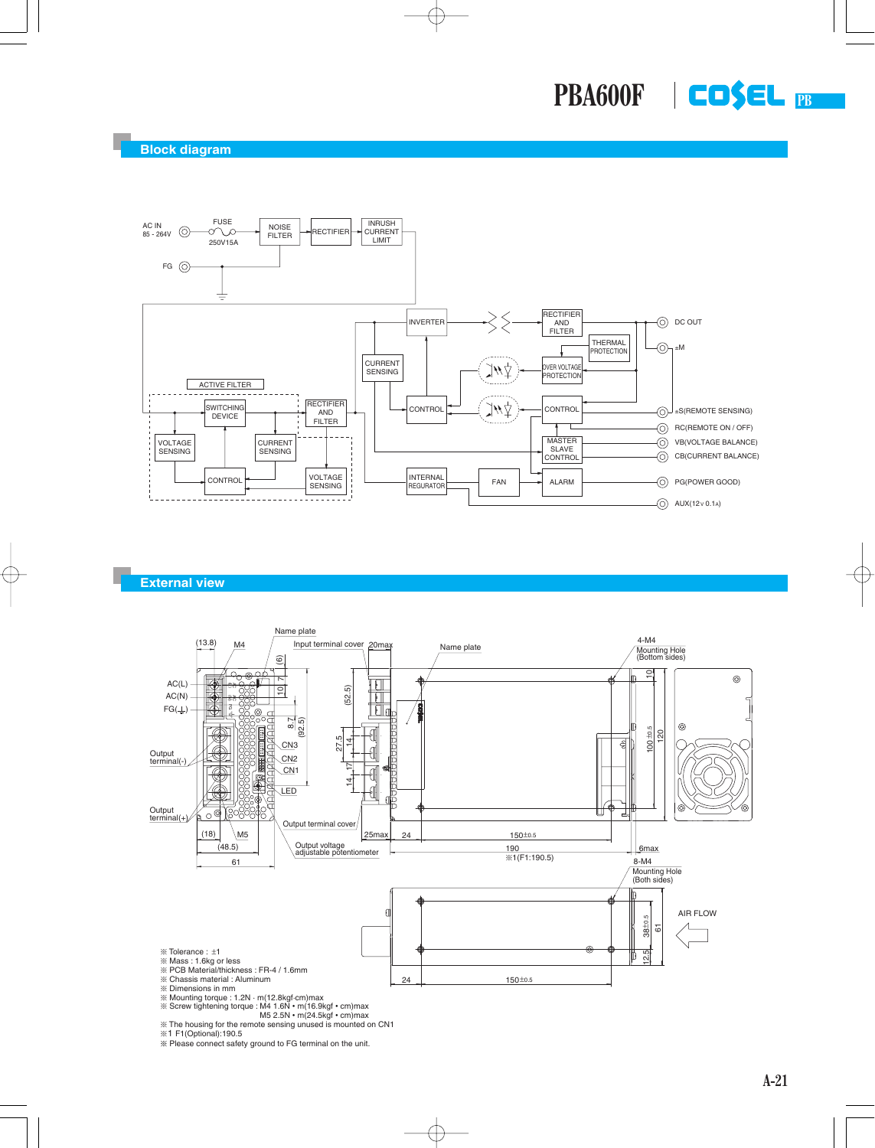

### **External view**



¶ The housing for the remote sensing unused is mounted on CN1 ¶1 F1(Optional):190.5

 $*$  Please connect safety ground to FG terminal on the unit.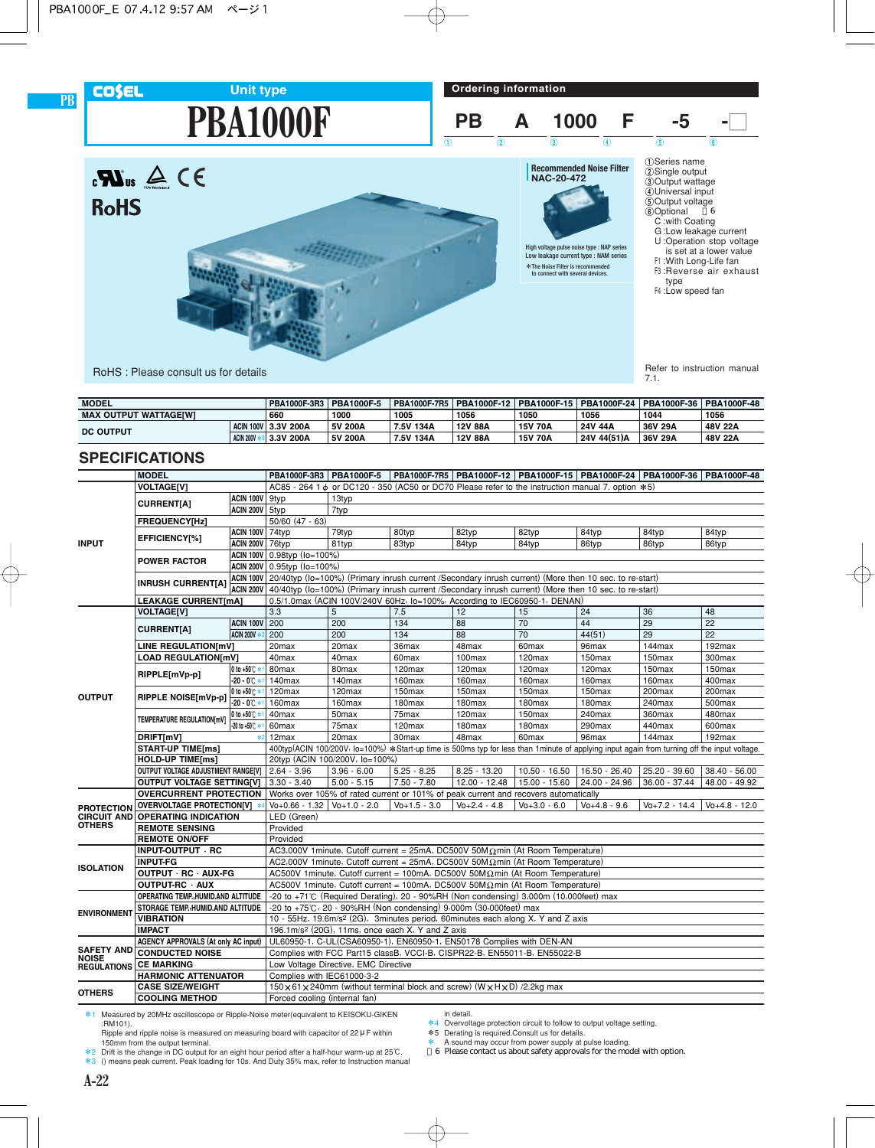## **PBA1000F Unit type**





Refer to instruction manual<br>7.1.

50 Output voltage<br>
60 Optional 6 C :with Coating G :Low leakage current U :Operation stop voltage is set at a lower value F1 :With Long-Life fan F3 :Reverse air exhaust

type F4 :Low speed fan

RoHS : Please consult us for details

| <b>MODEL</b>                 |                  | PBA1000F-3R3        | <b>PBA1000F-5</b> |           |         |                |             | PBA1000F-7R5   PBA1000F-12   PBA1000F-15   PBA1000F-24   PBA1000F-36   PBA1000F-48 |         |
|------------------------------|------------------|---------------------|-------------------|-----------|---------|----------------|-------------|------------------------------------------------------------------------------------|---------|
| <b>MAX OUTPUT WATTAGEIWI</b> |                  | 660                 | 1000              | 1005      | 1056    | 1050           | 1056        | 1044                                                                               | 1056    |
| <b>DC OUTPUT</b>             |                  | ACIN 100V 3.3V 200A | 5V 200A           | 7.5V 134A | 12V 88A | <b>15V 70A</b> | 24V 44A     | 36V 29A                                                                            | 48V 22A |
|                              | <b>ACIN 200V</b> | 3.3V 200A           | 5V 200A           | 7.5V 134A | 12V 88A | <b>15V 70A</b> | 24V 44(51)A | 36V 29A                                                                            | 48V 22A |

### **SPECIFICATIONS**

**PB**

**COSEL** 

|                                     | <b>MODEL</b>                                           |                            |                                                                                                                                                                                              |                                |                                                                 |                                                                                                                                                                                |                    |                   | PBA1000F-3R3   PBA1000F-5   PBA1000F-7R5   PBA1000F-12   PBA1000F-15   PBA1000F-24   PBA1000F-36   PBA1000F-48                                |                  |  |  |
|-------------------------------------|--------------------------------------------------------|----------------------------|----------------------------------------------------------------------------------------------------------------------------------------------------------------------------------------------|--------------------------------|-----------------------------------------------------------------|--------------------------------------------------------------------------------------------------------------------------------------------------------------------------------|--------------------|-------------------|-----------------------------------------------------------------------------------------------------------------------------------------------|------------------|--|--|
|                                     | <b>VOLTAGE[V]</b>                                      |                            |                                                                                                                                                                                              |                                |                                                                 | AC85 - 264 1 $\phi$ or DC120 - 350 (AC50 or DC70 Please refer to the instruction manual 7. option $*5$ )                                                                       |                    |                   |                                                                                                                                               |                  |  |  |
|                                     | <b>CURRENT[A]</b>                                      | ACIN 100V 9typ             |                                                                                                                                                                                              | 13typ                          |                                                                 |                                                                                                                                                                                |                    |                   |                                                                                                                                               |                  |  |  |
|                                     |                                                        | ACIN 200V 5typ             |                                                                                                                                                                                              | 7typ                           |                                                                 |                                                                                                                                                                                |                    |                   |                                                                                                                                               |                  |  |  |
|                                     | <b>FREQUENCY[Hz]</b>                                   |                            | $50/60$ (47 - 63)                                                                                                                                                                            |                                |                                                                 |                                                                                                                                                                                |                    |                   |                                                                                                                                               |                  |  |  |
|                                     | EFFICIENCY[%]                                          | <b>ACIN 100V</b> 74typ     |                                                                                                                                                                                              | 79typ                          | 80typ                                                           | 82typ                                                                                                                                                                          | 82typ              | 84typ             | 84typ                                                                                                                                         | 84typ            |  |  |
| <b>INPUT</b>                        |                                                        | <b>ACIN 200V 76typ</b>     |                                                                                                                                                                                              | 81typ                          | 83typ                                                           | 84typ                                                                                                                                                                          | 84typ              | 86typ             | 86typ                                                                                                                                         | 86typ            |  |  |
|                                     | <b>POWER FACTOR</b>                                    |                            | ACIN 100V 0.98typ (Io=100%)                                                                                                                                                                  |                                |                                                                 |                                                                                                                                                                                |                    |                   |                                                                                                                                               |                  |  |  |
|                                     |                                                        |                            | ACIN 200V 0.95typ (lo=100%)                                                                                                                                                                  |                                |                                                                 |                                                                                                                                                                                |                    |                   |                                                                                                                                               |                  |  |  |
|                                     | <b>INRUSH CURRENT[A]</b>                               |                            | ACIN 100V 20/40typ (lo=100%) (Primary inrush current /Secondary inrush current) (More then 10 sec. to re-start)                                                                              |                                |                                                                 |                                                                                                                                                                                |                    |                   |                                                                                                                                               |                  |  |  |
|                                     |                                                        |                            | ACIN 200V 40/40typ (Io=100%) (Primary inrush current /Secondary inrush current) (More then 10 sec. to re-start)<br>0.5/1.0max (ACIN 100V/240V 60Hz, lo=100%, According to IEC60950-1, DENAN) |                                |                                                                 |                                                                                                                                                                                |                    |                   |                                                                                                                                               |                  |  |  |
|                                     | <b>LEAKAGE CURRENT[mA]</b>                             |                            |                                                                                                                                                                                              |                                |                                                                 |                                                                                                                                                                                |                    |                   |                                                                                                                                               |                  |  |  |
|                                     | <b>VOLTAGE[V]</b>                                      |                            | 3.3                                                                                                                                                                                          | 5                              | 7.5                                                             | 12                                                                                                                                                                             | 15                 | 24                | 36                                                                                                                                            | 48               |  |  |
|                                     | <b>CURRENT[A]</b>                                      | <b>ACIN 100V 200</b>       |                                                                                                                                                                                              | 200                            | 134                                                             | 88                                                                                                                                                                             | 70                 | 44                | 29                                                                                                                                            | 22               |  |  |
|                                     |                                                        | <b>ACIN 200V *</b>         | 200                                                                                                                                                                                          | 200                            | 134                                                             | 88                                                                                                                                                                             | 70                 | 44(51)            | 29                                                                                                                                            | 22               |  |  |
|                                     | LINE REGULATION[mV]                                    |                            | 20 <sub>max</sub>                                                                                                                                                                            | 20max                          | 36max                                                           | 48max                                                                                                                                                                          | 60max              | 96max             | 144max                                                                                                                                        | 192max           |  |  |
| <b>OUTPUT</b>                       | <b>LOAD REGULATION[mV]</b>                             |                            | 40max                                                                                                                                                                                        | 40 <sub>max</sub>              | 60 <sub>max</sub>                                               | 100max                                                                                                                                                                         | 120 <sub>max</sub> | 150max            | 150max                                                                                                                                        | 300max           |  |  |
|                                     | RIPPLE[mVp-p]                                          | 0 to +50℃ *1               | 80max                                                                                                                                                                                        | 80max                          | 120max                                                          | 120max                                                                                                                                                                         | 120max             | 120max            | 150max                                                                                                                                        | 150max           |  |  |
|                                     |                                                        | $-20 - 0^{\circ}$ $\sim$ 1 | 140max                                                                                                                                                                                       | 140max                         | 160max                                                          | 160max                                                                                                                                                                         | 160max             | 160max            | 160max                                                                                                                                        | 400max           |  |  |
|                                     | RIPPLE NOISE[mVp-p]                                    | 0 to +50℃ *1               | 120max                                                                                                                                                                                       | 120max                         | 150max                                                          | 150max                                                                                                                                                                         | 150max             | 150max            | 200max                                                                                                                                        | 200max           |  |  |
|                                     |                                                        | $-20 - 0^{\circ}$          | 160max                                                                                                                                                                                       | 160max                         | 180max                                                          | 180max                                                                                                                                                                         | 180max             | 180max            | 240max                                                                                                                                        | 500max           |  |  |
|                                     | TEMPERATURE REGULATION[mV]                             | 0 to +50℃ *                | 40max                                                                                                                                                                                        | 50 <sub>max</sub>              | 75max                                                           | 120 <sub>max</sub>                                                                                                                                                             | 150max             | 240max            | 360max                                                                                                                                        | 480max           |  |  |
|                                     | $-20$ to $+50^{\circ}$ .                               |                            | 60max                                                                                                                                                                                        | 75max                          | 120max                                                          | 180max                                                                                                                                                                         | 180max             | 290max            | 440max                                                                                                                                        | 600max           |  |  |
|                                     | DRIFT[mV]                                              | $*2$                       | 12max                                                                                                                                                                                        | 20max                          | 30max                                                           | 48max                                                                                                                                                                          | 60max              | 96max             | 144max                                                                                                                                        | 192max           |  |  |
|                                     | <b>START-UP TIME[ms]</b>                               |                            |                                                                                                                                                                                              |                                |                                                                 |                                                                                                                                                                                |                    |                   | 400typ(ACIN 100/200V, lo=100%) *Start-up time is 500ms typ for less than 1 minute of applying input again from turning off the input voltage. |                  |  |  |
|                                     | <b>HOLD-UP TIME[ms]</b>                                |                            |                                                                                                                                                                                              | 20typ (ACIN 100/200V, lo=100%) |                                                                 |                                                                                                                                                                                |                    |                   |                                                                                                                                               |                  |  |  |
|                                     | OUTPUT VOLTAGE ADJUSTMENT RANGE[V]                     |                            | $2.64 - 3.96$                                                                                                                                                                                | $3.96 - 6.00$                  | $5.25 - 8.25$                                                   | $8.25 - 13.20$                                                                                                                                                                 | $10.50 - 16.50$    | 16.50 - 26.40     | 25.20 - 39.60                                                                                                                                 | 38.40 - 56.00    |  |  |
|                                     | <b>OUTPUT VOLTAGE SETTING[V]</b>                       |                            | $3.30 - 3.40$                                                                                                                                                                                | $5.00 - 5.15$                  | $7.50 - 7.80$                                                   | $12.00 - 12.48$                                                                                                                                                                | 15.00 - 15.60      | 24.00 - 24.96     | 36.00 - 37.44                                                                                                                                 | 48.00 - 49.92    |  |  |
|                                     | <b>OVERCURRENT PROTECTION</b>                          |                            |                                                                                                                                                                                              |                                |                                                                 | Works over 105% of rated current or 101% of peak current and recovers automatically                                                                                            |                    |                   |                                                                                                                                               |                  |  |  |
| <b>PROTECTION</b>                   | OVERVOLTAGE PROTECTION[V] *                            |                            | $\sqrt{6} + 0.66 - 1.32$ $\sqrt{6} + 1.0 - 2.0$                                                                                                                                              |                                | $V_0 + 1.5 - 3.0$                                               | $V_0 + 2.4 - 4.8$                                                                                                                                                              | $V_0 + 3.0 - 6.0$  | $V_0 + 4.8 - 9.6$ | $V_0 + 7.2 - 14.4$                                                                                                                            | $V_0+4.8 - 12.0$ |  |  |
| <b>CIRCUIT AND</b><br><b>OTHERS</b> | <b>OPERATING INDICATION</b>                            |                            | LED (Green)                                                                                                                                                                                  |                                |                                                                 |                                                                                                                                                                                |                    |                   |                                                                                                                                               |                  |  |  |
|                                     | <b>REMOTE SENSING</b>                                  |                            | Provided                                                                                                                                                                                     |                                |                                                                 |                                                                                                                                                                                |                    |                   |                                                                                                                                               |                  |  |  |
|                                     | <b>REMOTE ON/OFF</b>                                   |                            | Provided                                                                                                                                                                                     |                                |                                                                 |                                                                                                                                                                                |                    |                   |                                                                                                                                               |                  |  |  |
|                                     | INPUT-OUTPUT · RC                                      |                            |                                                                                                                                                                                              |                                |                                                                 | AC3,000V 1minute, Cutoff current = 25mA, DC500V 50M $\Omega$ min (At Room Temperature)                                                                                         |                    |                   |                                                                                                                                               |                  |  |  |
| <b>ISOLATION</b>                    | <b>INPUT-FG</b>                                        |                            |                                                                                                                                                                                              |                                |                                                                 | AC2,000V 1minute, Cutoff current = 25mA, DC500V 50M $\Omega$ min (At Room Temperature)                                                                                         |                    |                   |                                                                                                                                               |                  |  |  |
|                                     | OUTPUT RC AUX-FG                                       |                            |                                                                                                                                                                                              |                                |                                                                 | AC500V 1minute, Cutoff current = 100mA, DC500V 50M $\Omega$ min (At Room Temperature)                                                                                          |                    |                   |                                                                                                                                               |                  |  |  |
|                                     | OUTPUT-RC · AUX<br>OPERATING TEMP., HUMID.AND ALTITUDE |                            |                                                                                                                                                                                              |                                |                                                                 | AC500V 1minute, Cutoff current = 100mA, DC500V 50M $\Omega$ min (At Room Temperature)<br>-20 to +71°C (Required Derating), 20 - 90%RH (Non condensing) 3,000m (10,000feet) max |                    |                   |                                                                                                                                               |                  |  |  |
|                                     | STORAGE TEMP., HUMID. AND ALTITUDE                     |                            |                                                                                                                                                                                              |                                |                                                                 | -20 to +75°C, 20 - 90%RH (Non condensing) 9,000m (30,000feet) max                                                                                                              |                    |                   |                                                                                                                                               |                  |  |  |
| <b>ENVIRONMENT</b>                  | <b>VIBRATION</b>                                       |                            |                                                                                                                                                                                              |                                |                                                                 | 10 - 55Hz, 19.6m/s <sup>2</sup> (2G), 3minutes period, 60minutes each along X, Y and Z axis                                                                                    |                    |                   |                                                                                                                                               |                  |  |  |
|                                     | <b>IMPACT</b>                                          |                            |                                                                                                                                                                                              |                                | 196.1m/s <sup>2</sup> (20G), 11ms, once each $X$ , Y and Z axis |                                                                                                                                                                                |                    |                   |                                                                                                                                               |                  |  |  |
|                                     | <b>AGENCY APPROVALS (At only AC input)</b>             |                            |                                                                                                                                                                                              |                                |                                                                 | UL60950-1, C-UL(CSA60950-1), EN60950-1, EN50178 Complies with DEN-AN                                                                                                           |                    |                   |                                                                                                                                               |                  |  |  |
| <b>SAFETY AND</b>                   | <b>CONDUCTED NOISE</b>                                 |                            |                                                                                                                                                                                              |                                |                                                                 |                                                                                                                                                                                |                    |                   |                                                                                                                                               |                  |  |  |
| <b>NOISE</b>                        | <b>CE MARKING</b>                                      |                            | Complies with FCC Part15 classB, VCCI-B, CISPR22-B, EN55011-B, EN55022-B<br>Low Voltage Directive, EMC Directive                                                                             |                                |                                                                 |                                                                                                                                                                                |                    |                   |                                                                                                                                               |                  |  |  |
| <b>REGULATIONS</b>                  | <b>HARMONIC ATTENUATOR</b>                             |                            | Complies with IEC61000-3-2                                                                                                                                                                   |                                |                                                                 |                                                                                                                                                                                |                    |                   |                                                                                                                                               |                  |  |  |
|                                     | <b>CASE SIZE/WEIGHT</b>                                |                            |                                                                                                                                                                                              |                                |                                                                 | 150 × 61 × 240mm (without terminal block and screw) (W × H × D) /2.2kg max                                                                                                     |                    |                   |                                                                                                                                               |                  |  |  |
| <b>OTHERS</b>                       | <b>COOLING METHOD</b>                                  |                            | Forced cooling (internal fan)                                                                                                                                                                |                                |                                                                 |                                                                                                                                                                                |                    |                   |                                                                                                                                               |                  |  |  |
|                                     |                                                        |                            |                                                                                                                                                                                              |                                |                                                                 |                                                                                                                                                                                |                    |                   |                                                                                                                                               |                  |  |  |

\*1 Measured by 20MHz oscilloscope or Ripple-Noise meter(equivalent to KEISOKU-GIKEN :RM101). Ripple and ripple noise is measured on measuring board with capacitor of  $22 \mu$  F within

150mm from the output terminal. \*2 Drift is the change in DC output for an eight hour period after a half-hour warm-up at 25C.

\*3 () means peak current. Peak loading for 10s. And Duty 35% max, refer to Instruction manual

- in detail.
- \*4 Overvoltage protection circuit to follow to output voltage setting. \*5 Derating is required.Consult us for details.
- 
- \* A sound may occur from power supply at pulse loading. \*6 Please contact us about safety approvals for the model with option.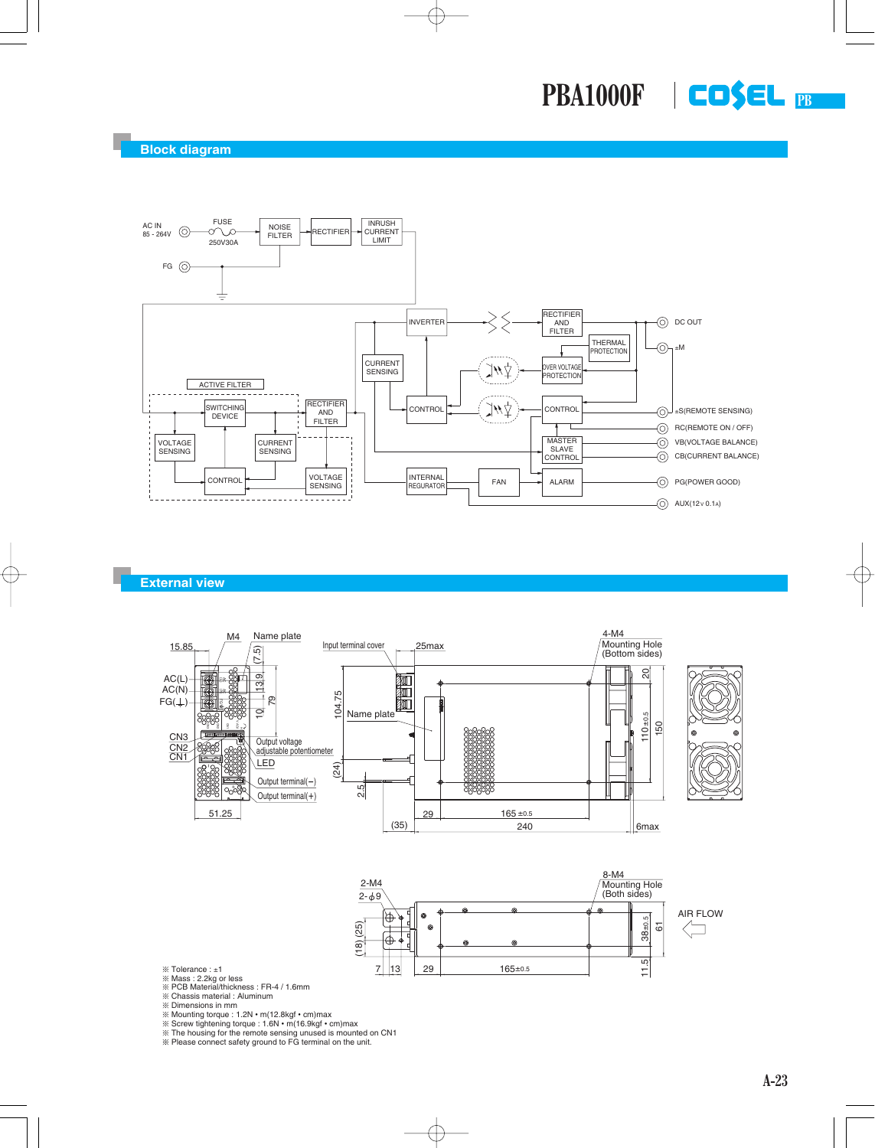**PB PBA1000F**



#### **External view**





- 
- ※ Tolerance : ±1<br>※ Mass : 2.2kg or less<br>※ PCB Material/thickness : FR-4 / 1.6mm<br>※ Chassis material : Aluminum

**EXECUTE:** Dimensions in mm

- 
- 
- 

¶ Mounting torque : 1.2N • m(12.8kgf • cm)max ¶ Screw tightening torque : 1.6N • m(16.9kgf • cm)max ¶ The housing for the remote sensing unused is mounted on CN1 ¶ Please connect safety ground to FG terminal on the unit.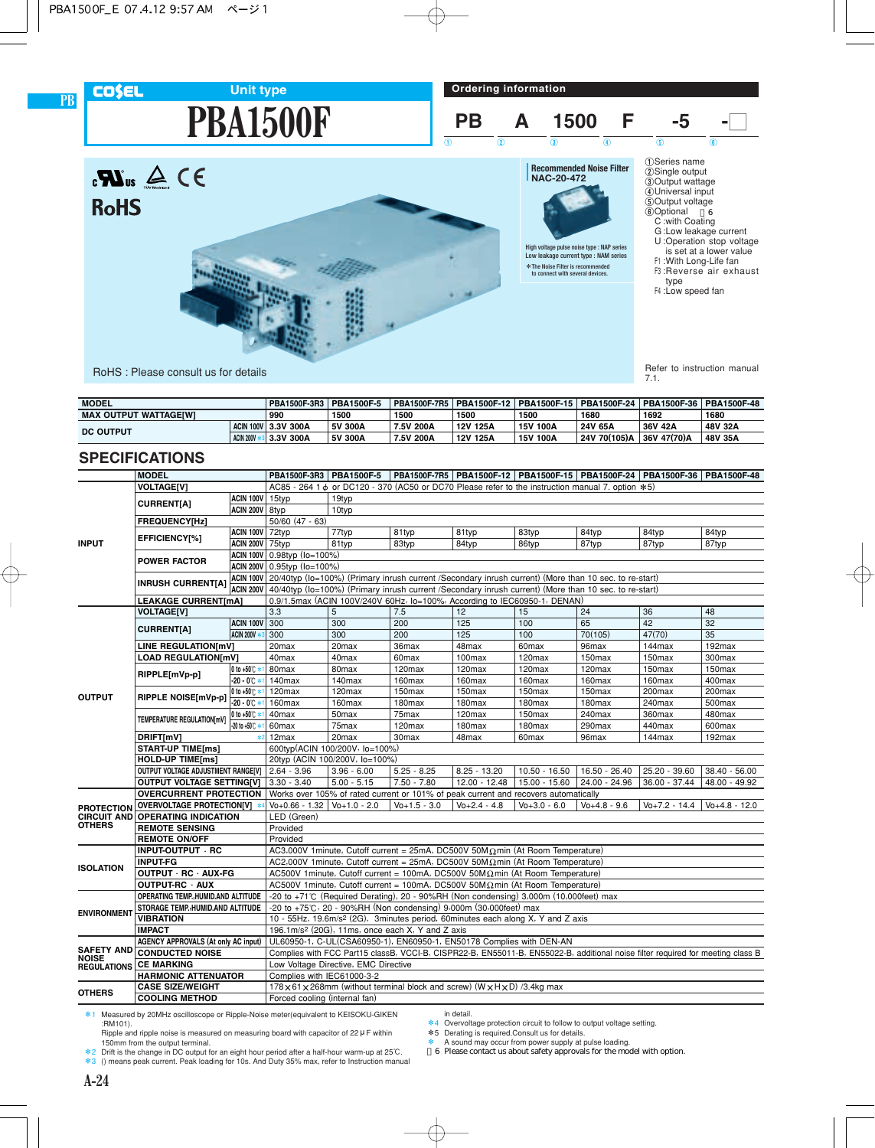## **COSEL**

**PB**

**RoHS** 

**Ordering information**



Refer to instruction manual<br>7.1.

RoHS : Please consult us for details

| <b>MODEL</b>                 |           | PBA1500F-3R3        | <b>PBA1500F-5</b> |           | PBA1500F-7R5 PBA1500F-12 PBA1500F-15 PBA1500F-24 |          |              | <b>PBA1500F-36 PBA1500F-48</b> |         |
|------------------------------|-----------|---------------------|-------------------|-----------|--------------------------------------------------|----------|--------------|--------------------------------|---------|
| <b>MAX OUTPUT WATTAGEIWI</b> |           | 990                 | 1500              | 1500      | 1500                                             | 1500     | 1680         | 1692                           | 1680    |
| <b>DC OUTPUT</b>             |           | ACIN 100V 3.3V 300A | 5V 300A           | 7.5V 200A | 12V 125A                                         | 15V 100A | 24V 65A      | 36V 42A                        | 48V 32A |
|                              | ACIN 200V | 3.3V 300A           | 5V 300A           | 7.5V 200A | 12V 125A                                         | 15V 100A | 24V 70(105)A | 36V 47(70)A                    | 48V 35A |

### **SPECIFICATIONS**

|                                                                                                  | <b>MODEL</b>                                                                        |                        |                                                                                                                                |                                                                                     | PBA1500F-3R3 PBA1500F-5 PBA1500F-7R5 PBA1500F-12 PBA1500F-15 PBA1500F-24 PBA1500F-36 PBA1500F-48                |                   |                   |                   |                    |                  |  |  |
|--------------------------------------------------------------------------------------------------|-------------------------------------------------------------------------------------|------------------------|--------------------------------------------------------------------------------------------------------------------------------|-------------------------------------------------------------------------------------|-----------------------------------------------------------------------------------------------------------------|-------------------|-------------------|-------------------|--------------------|------------------|--|--|
|                                                                                                  | <b>VOLTAGE[V]</b>                                                                   |                        |                                                                                                                                |                                                                                     | AC85 - 264 1 & or DC120 - 370 (AC50 or DC70 Please refer to the instruction manual 7. option $*5$ )             |                   |                   |                   |                    |                  |  |  |
|                                                                                                  |                                                                                     | ACIN 100V 15typ        |                                                                                                                                | 19typ                                                                               |                                                                                                                 |                   |                   |                   |                    |                  |  |  |
|                                                                                                  | <b>CURRENT[A]</b>                                                                   | ACIN 200V 8typ         |                                                                                                                                | 10typ                                                                               |                                                                                                                 |                   |                   |                   |                    |                  |  |  |
|                                                                                                  | <b>FREQUENCY[Hz]</b>                                                                |                        | $50/60$ (47 - 63)                                                                                                              |                                                                                     |                                                                                                                 |                   |                   |                   |                    |                  |  |  |
| <b>INPUT</b>                                                                                     | EFFICIENCY[%]                                                                       | <b>ACIN 100V</b> 72typ |                                                                                                                                | 77typ                                                                               | 81typ                                                                                                           | 81typ             | 83typ             | 84typ             | 84typ              | 84typ            |  |  |
|                                                                                                  |                                                                                     | <b>ACIN 200V 75typ</b> |                                                                                                                                | 81typ                                                                               | 83typ                                                                                                           | 84typ             | 86typ             | 87typ             | 87typ              | 87typ            |  |  |
|                                                                                                  | <b>POWER FACTOR</b>                                                                 |                        | ACIN 100V 0.98typ (lo=100%)                                                                                                    |                                                                                     |                                                                                                                 |                   |                   |                   |                    |                  |  |  |
|                                                                                                  |                                                                                     |                        | ACIN 200V 0.95typ (Io=100%)                                                                                                    |                                                                                     |                                                                                                                 |                   |                   |                   |                    |                  |  |  |
|                                                                                                  |                                                                                     |                        |                                                                                                                                |                                                                                     | ACIN 100V 20/40typ (lo=100%) (Primary inrush current /Secondary inrush current) (More than 10 sec. to re-start) |                   |                   |                   |                    |                  |  |  |
|                                                                                                  | <b>INRUSH CURRENT[A]</b>                                                            | ACIN 200V              | 40/40typ (lo=100%) (Primary inrush current /Secondary inrush current) (More than 10 sec. to re-start)                          |                                                                                     |                                                                                                                 |                   |                   |                   |                    |                  |  |  |
|                                                                                                  | <b>LEAKAGE CURRENT[mA]</b>                                                          |                        | 0.9/1.5max (ACIN 100V/240V 60Hz, lo=100%, According to IEC60950-1, DENAN)                                                      |                                                                                     |                                                                                                                 |                   |                   |                   |                    |                  |  |  |
|                                                                                                  | <b>VOLTAGE[V]</b>                                                                   |                        | 3.3                                                                                                                            | 5                                                                                   | 7.5                                                                                                             | 12                | 15                | 24                | 36                 | 48               |  |  |
| <b>CURRENT[A]</b>                                                                                |                                                                                     | <b>ACIN 100V 300</b>   |                                                                                                                                | 300                                                                                 | 200                                                                                                             | 125               | 100               | 65                | 42                 | 32               |  |  |
|                                                                                                  |                                                                                     | <b>ACIN 200V **</b>    | 300                                                                                                                            | 300                                                                                 | 200                                                                                                             | 125               | 100               | 70(105)           | 47(70)             | 35               |  |  |
|                                                                                                  | LINE REGULATION[mV]                                                                 |                        | 20 <sub>max</sub>                                                                                                              | 20 <sub>max</sub>                                                                   | 36max                                                                                                           | 48max             | 60max             | 96max             | 144max             | 192max           |  |  |
|                                                                                                  | <b>LOAD REGULATION[mV]</b>                                                          |                        | 40max                                                                                                                          | 40 <sub>max</sub>                                                                   | 60 <sub>max</sub>                                                                                               | 100max            | 120max            | 150max            | 150max             | 300max           |  |  |
| RIPPLE[mVp-p]<br><b>OUTPUT</b><br>RIPPLE NOISE[mVp-p]<br>TEMPERATURE REGULATION[mV]<br>DRIFT[mV] |                                                                                     | 0 to +50℃ *            | 80max                                                                                                                          | 80max                                                                               | 120max                                                                                                          | 120max            | 120max            | $120$ max         | 150max             | 150max           |  |  |
|                                                                                                  |                                                                                     | $-20 - 0^{\circ}C$ *   | 140max                                                                                                                         | 140max                                                                              | 160max                                                                                                          | 160max            | 160max            | 160max            | 160max             | 400max           |  |  |
|                                                                                                  |                                                                                     | 0 to +50℃ *            | 120max                                                                                                                         | 120max                                                                              | 150max                                                                                                          | 150max            | 150max            | 150max            | 200max             | 200max           |  |  |
|                                                                                                  |                                                                                     | $-20 - 0^{\circ}C$     | 160max                                                                                                                         | 160max                                                                              | 180max                                                                                                          | 180max            | 180max            | 180max            | 240max             | 500max           |  |  |
|                                                                                                  |                                                                                     | 0 to +50℃ *            | 40max                                                                                                                          | 50 <sub>max</sub>                                                                   | 75max                                                                                                           | 120max            | 150max            | 240max            | 360max             | 480max           |  |  |
|                                                                                                  | -20 to +50℃ *                                                                       |                        | 60max                                                                                                                          | 75max                                                                               | 120max                                                                                                          | 180max            | 180max            | 290max            | 440max             | 600max           |  |  |
|                                                                                                  | $*2$                                                                                |                        | 12 <sub>max</sub>                                                                                                              | 20 <sub>max</sub>                                                                   | 30 <sub>max</sub>                                                                                               | 48max             | 60 <sub>max</sub> | 96max             | 144max             | 192max           |  |  |
|                                                                                                  | <b>START-UP TIME[ms]</b>                                                            |                        |                                                                                                                                | 600typ(ACIN 100/200V, lo=100%)                                                      |                                                                                                                 |                   |                   |                   |                    |                  |  |  |
|                                                                                                  | <b>HOLD-UP TIME[ms]</b>                                                             |                        |                                                                                                                                | 20typ (ACIN 100/200V, lo=100%)                                                      |                                                                                                                 |                   |                   |                   |                    |                  |  |  |
|                                                                                                  | OUTPUT VOLTAGE ADJUSTMENT RANGE[V]                                                  |                        | $2.64 - 3.96$                                                                                                                  | $3.96 - 6.00$                                                                       | $5.25 - 8.25$                                                                                                   | $8.25 - 13.20$    | $10.50 - 16.50$   | 16.50 - 26.40     | 25.20 - 39.60      | $38.40 - 56.00$  |  |  |
|                                                                                                  | <b>OUTPUT VOLTAGE SETTING[V]</b>                                                    |                        | $3.30 - 3.40$                                                                                                                  | $5.00 - 5.15$                                                                       | $7.50 - 7.80$                                                                                                   | $12.00 - 12.48$   | $15.00 - 15.60$   | 24.00 - 24.96     | 36.00 - 37.44      | 48.00 - 49.92    |  |  |
|                                                                                                  | <b>OVERCURRENT PROTECTION</b>                                                       |                        |                                                                                                                                | Works over 105% of rated current or 101% of peak current and recovers automatically |                                                                                                                 |                   |                   |                   |                    |                  |  |  |
| <b>PROTECTION</b>                                                                                | OVERVOLTAGE PROTECTION[V] *                                                         |                        | $\sqrt{0+0.66 - 1.32}$ $\sqrt{0+1.0 - 2.0}$                                                                                    |                                                                                     | $V_0 + 1.5 - 3.0$                                                                                               | $V_0 + 2.4 - 4.8$ | $V_0 + 3.0 - 6.0$ | $V_0 + 4.8 - 9.6$ | $V_0 + 7.2 - 14.4$ | $V_0+4.8 - 12.0$ |  |  |
| <b>CIRCUIT AND</b>                                                                               | <b>OPERATING INDICATION</b>                                                         |                        | LED (Green)                                                                                                                    |                                                                                     |                                                                                                                 |                   |                   |                   |                    |                  |  |  |
| <b>OTHERS</b>                                                                                    | <b>REMOTE SENSING</b>                                                               |                        | Provided                                                                                                                       |                                                                                     |                                                                                                                 |                   |                   |                   |                    |                  |  |  |
|                                                                                                  | <b>REMOTE ON/OFF</b>                                                                |                        | Provided                                                                                                                       |                                                                                     |                                                                                                                 |                   |                   |                   |                    |                  |  |  |
|                                                                                                  | INPUT-OUTPUT · RC                                                                   |                        |                                                                                                                                |                                                                                     | AC3,000V 1 minute, Cutoff current = $25mA$ , DC500V 50M $\Omega$ min (At Room Temperature)                      |                   |                   |                   |                    |                  |  |  |
| <b>ISOLATION</b>                                                                                 | <b>INPUT-FG</b>                                                                     |                        |                                                                                                                                |                                                                                     | AC2,000V 1minute, Cutoff current = 25mA, DC500V 50M $\Omega$ min (At Room Temperature)                          |                   |                   |                   |                    |                  |  |  |
|                                                                                                  | OUTPUT · RC · AUX-FG                                                                |                        |                                                                                                                                |                                                                                     | AC500V 1 minute, Cutoff current = 100mA, DC500V 50M $\Omega$ min (At Room Temperature)                          |                   |                   |                   |                    |                  |  |  |
|                                                                                                  | OUTPUT-RC · AUX                                                                     |                        |                                                                                                                                |                                                                                     | AC500V 1 minute, Cutoff current = 100mA, DC500V 50M $\Omega$ min (At Room Temperature)                          |                   |                   |                   |                    |                  |  |  |
|                                                                                                  | OPERATING TEMP., HUMID.AND ALTITUDE                                                 |                        |                                                                                                                                |                                                                                     | -20 to +71°C (Required Derating), 20 - 90%RH (Non condensing) 3,000m (10,000feet) max                           |                   |                   |                   |                    |                  |  |  |
| <b>ENVIRONMENT</b>                                                                               | STORAGE TEMP.,HUMID.AND ALTITUDE                                                    |                        |                                                                                                                                |                                                                                     | -20 to +75℃, 20 - 90%RH (Non condensing) 9,000m (30,000feet) max                                                |                   |                   |                   |                    |                  |  |  |
|                                                                                                  | <b>VIBRATION</b>                                                                    |                        |                                                                                                                                |                                                                                     | 10 - 55Hz, 19.6m/s <sup>2</sup> (2G), 3minutes period, 60minutes each along X, Y and Z axis                     |                   |                   |                   |                    |                  |  |  |
|                                                                                                  | <b>IMPACT</b>                                                                       |                        |                                                                                                                                |                                                                                     | 196.1m/s <sup>2</sup> (20G), 11ms, once each X, Y and Z axis                                                    |                   |                   |                   |                    |                  |  |  |
| <b>SAFETY AND</b>                                                                                | <b>AGENCY APPROVALS (At only AC input)</b>                                          |                        | UL60950-1, C-UL(CSA60950-1), EN60950-1, EN50178 Complies with DEN-AN                                                           |                                                                                     |                                                                                                                 |                   |                   |                   |                    |                  |  |  |
| <b>NOISE</b>                                                                                     | <b>CONDUCTED NOISE</b>                                                              |                        | Complies with FCC Part15 classB, VCCI-B, CISPR22-B, EN55011-B, EN55022-B, additional noise filter required for meeting class B |                                                                                     |                                                                                                                 |                   |                   |                   |                    |                  |  |  |
| <b>REGULATIONS</b>                                                                               | <b>CE MARKING</b>                                                                   |                        | Low Voltage Directive, EMC Directive                                                                                           |                                                                                     |                                                                                                                 |                   |                   |                   |                    |                  |  |  |
|                                                                                                  | <b>HARMONIC ATTENUATOR</b>                                                          |                        | Complies with IEC61000-3-2                                                                                                     |                                                                                     |                                                                                                                 |                   |                   |                   |                    |                  |  |  |
| <b>OTHERS</b>                                                                                    | <b>CASE SIZE/WEIGHT</b>                                                             |                        |                                                                                                                                |                                                                                     | 178 × 61 × 268mm (without terminal block and screw) (W × H × D) /3.4kg max                                      |                   |                   |                   |                    |                  |  |  |
|                                                                                                  | <b>COOLING METHOD</b>                                                               |                        | Forced cooling (internal fan)                                                                                                  |                                                                                     |                                                                                                                 |                   |                   |                   |                    |                  |  |  |
|                                                                                                  | *1 Measured by 20MHz oscilloscope or Ripple-Noise meter(equivalent to KEISOKU-GIKEN |                        |                                                                                                                                |                                                                                     |                                                                                                                 | in detail.        |                   |                   |                    |                  |  |  |

:RM101). Ripple and ripple noise is measured on measuring board with capacitor of  $22 \mu$  F within

150mm from the output terminal. \*2 Drift is the change in DC output for an eight hour period after a half-hour warm-up at 25C.

- \*3 () means peak current. Peak loading for 10s. And Duty 35% max, refer to Instruction manual
- 
- in detail. \*4 Overvoltage protection circuit to follow to output voltage setting. \*5 Derating is required.Consult us for details.
- 
- \* A sound may occur from power supply at pulse loading. \*6 Please contact us about safety approvals for the model with option.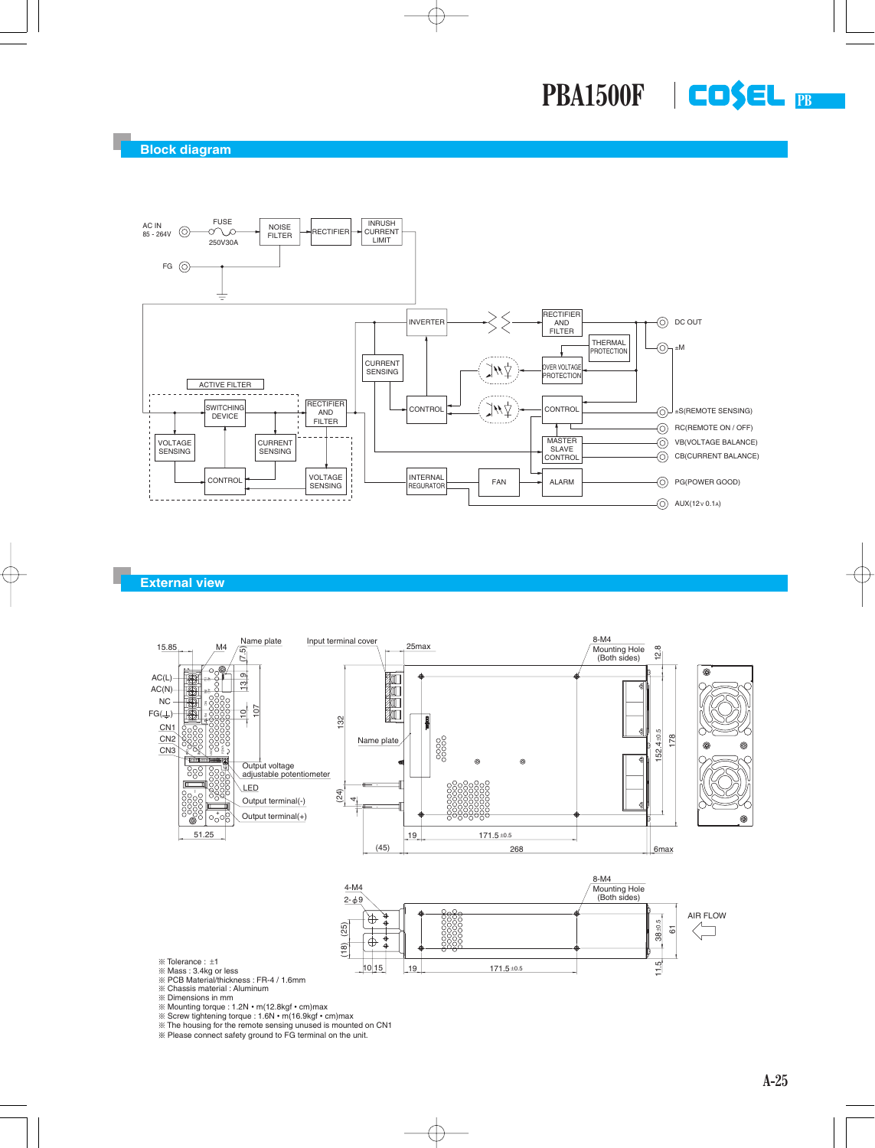**PB PBA1500F**



### **External view**





- 
- ※ Tolerance : ±1<br>※ Mass : 3.4kg or less<br>※ PCB Material/thickness : FR-4 / 1.6mm
- ¶ Chassis material : Aluminum
- ¶ Dimensions in mm
- 
- ¶ Mounting torque : 1.2N m(12.8kgf cm)max ¶ Screw tightening torque : 1.6N m(16.9kgf cm)max
- 
- ¶ The housing for the remote sensing unused is mounted on CN1 ¶ Please connect safety ground to FG terminal on the unit.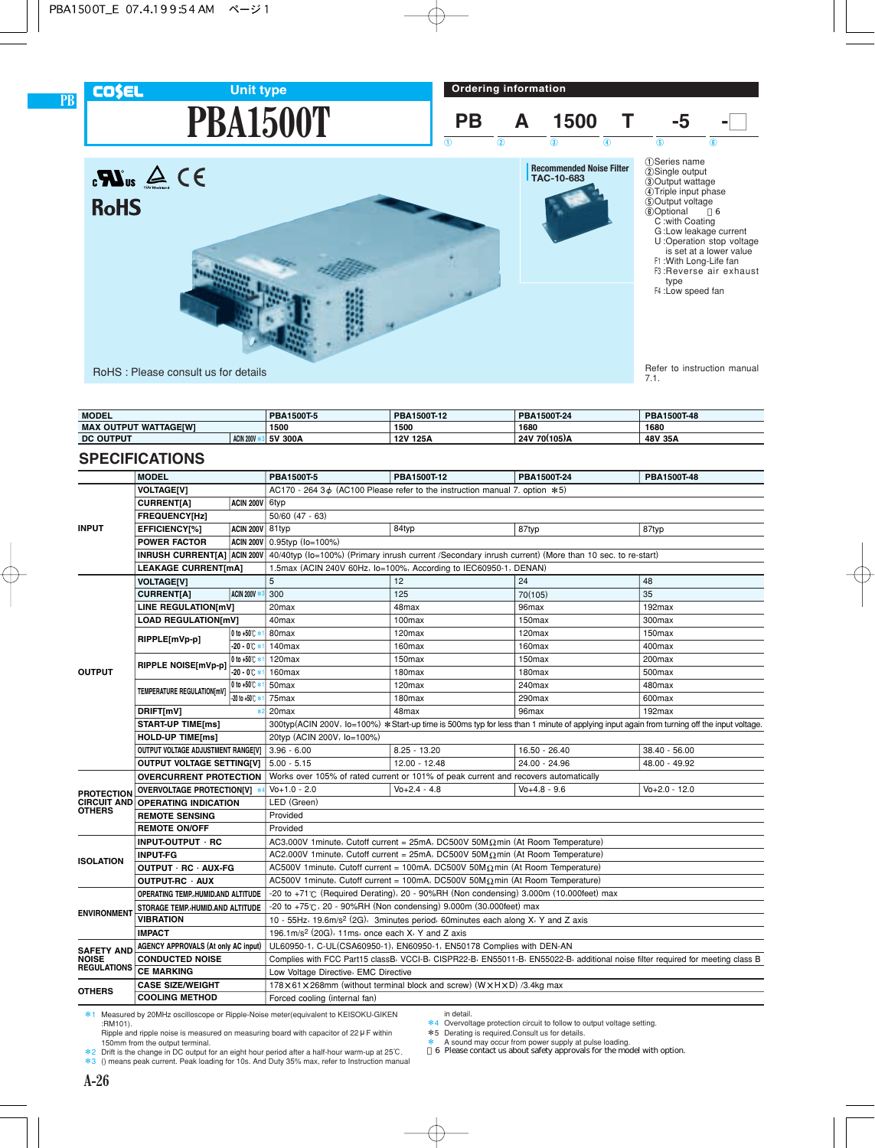## **COSEL**

**PB**

**PBA1500T Unit type**





| <b>MODEL</b>                                     |  | PBA1500T-5 | 1500T-12<br>PBA | PBA1500T-24              | PBA1500T-48 |  |
|--------------------------------------------------|--|------------|-----------------|--------------------------|-------------|--|
| <b>WATTAGEIWI</b><br><b>MAX</b><br><b>OUTPUT</b> |  | 1500       | 1680<br>1500    |                          | 1680        |  |
| ACIN 200V<br><b>DC OUTPUT</b>                    |  | 5V 300A    | 12V 125A        | ` 70(105)A<br><b>24V</b> | 48V 35A     |  |

### **SPECIFICATIONS**

| IUIIJ                                                  |                                         |                          |                                                                                                                                                                                                                                                                                         |                      |                                                                                                                                                                                                                                                             | <b>6</b> Optional<br>6<br>C: with Coating<br>G:Low leakage current<br>U:Operation stop voltage<br>is set at a lower value<br>F1: With Long-Life fan<br>F3: Reverse air exhaust<br>type<br>F4 : Low speed fan |  |  |  |
|--------------------------------------------------------|-----------------------------------------|--------------------------|-----------------------------------------------------------------------------------------------------------------------------------------------------------------------------------------------------------------------------------------------------------------------------------------|----------------------|-------------------------------------------------------------------------------------------------------------------------------------------------------------------------------------------------------------------------------------------------------------|--------------------------------------------------------------------------------------------------------------------------------------------------------------------------------------------------------------|--|--|--|
|                                                        | RoHS: Please consult us for details     |                          |                                                                                                                                                                                                                                                                                         |                      |                                                                                                                                                                                                                                                             | Refer to instruction manual<br>7.1.                                                                                                                                                                          |  |  |  |
|                                                        |                                         |                          |                                                                                                                                                                                                                                                                                         |                      |                                                                                                                                                                                                                                                             |                                                                                                                                                                                                              |  |  |  |
| <b>MODEL</b>                                           | <b>MAX OUTPUT WATTAGE[W]</b>            |                          | PBA1500T-5<br>1500                                                                                                                                                                                                                                                                      | PBA1500T-12<br>1500  | PBA1500T-24<br>1680                                                                                                                                                                                                                                         | PBA1500T-48<br>1680                                                                                                                                                                                          |  |  |  |
| <b>DC OUTPUT</b>                                       |                                         | <b>ACIN 200V *3</b>      | 5V 300A                                                                                                                                                                                                                                                                                 | 12V 125A             | 24V 70(105)A                                                                                                                                                                                                                                                | 48V 35A                                                                                                                                                                                                      |  |  |  |
|                                                        | <b>SPECIFICATIONS</b>                   |                          |                                                                                                                                                                                                                                                                                         |                      |                                                                                                                                                                                                                                                             |                                                                                                                                                                                                              |  |  |  |
|                                                        | <b>MODEL</b>                            |                          | PBA1500T-5                                                                                                                                                                                                                                                                              | PBA1500T-12          | PBA1500T-24                                                                                                                                                                                                                                                 | PBA1500T-48                                                                                                                                                                                                  |  |  |  |
|                                                        | <b>VOLTAGE[V]</b>                       |                          | AC170 - 264 3 $\phi$ (AC100 Please refer to the instruction manual 7. option $*5$ )                                                                                                                                                                                                     |                      |                                                                                                                                                                                                                                                             |                                                                                                                                                                                                              |  |  |  |
|                                                        | <b>CURRENT[A]</b>                       | ACIN 200V 6typ           |                                                                                                                                                                                                                                                                                         |                      |                                                                                                                                                                                                                                                             |                                                                                                                                                                                                              |  |  |  |
|                                                        | FREQUENCY[Hz]                           |                          | $50/60$ $(47 - 63)$                                                                                                                                                                                                                                                                     |                      |                                                                                                                                                                                                                                                             |                                                                                                                                                                                                              |  |  |  |
| <b>INPUT</b>                                           | EFFICIENCY[%]                           | <b>ACIN 200V</b>         | 81typ                                                                                                                                                                                                                                                                                   | 84typ                | 87typ                                                                                                                                                                                                                                                       | 87typ                                                                                                                                                                                                        |  |  |  |
|                                                        | <b>POWER FACTOR</b>                     | ACIN 200V                | 0.95typ (lo=100%)                                                                                                                                                                                                                                                                       |                      |                                                                                                                                                                                                                                                             |                                                                                                                                                                                                              |  |  |  |
|                                                        | <b>INRUSH CURRENT[A] ACIN 200V</b>      |                          | 40/40typ (lo=100%) (Primary inrush current /Secondary inrush current) (More than 10 sec. to re-start)                                                                                                                                                                                   |                      |                                                                                                                                                                                                                                                             |                                                                                                                                                                                                              |  |  |  |
|                                                        | <b>LEAKAGE CURRENT[mA]</b>              |                          | 1.5max (ACIN 240V 60Hz, lo=100%, According to IEC60950-1, DENAN)                                                                                                                                                                                                                        |                      |                                                                                                                                                                                                                                                             |                                                                                                                                                                                                              |  |  |  |
|                                                        | <b>VOLTAGE[V]</b>                       |                          | 5                                                                                                                                                                                                                                                                                       | 12                   | 24                                                                                                                                                                                                                                                          | 48                                                                                                                                                                                                           |  |  |  |
|                                                        | <b>CURRENT[A]</b>                       | <b>ACIN 200V *</b>       | 300                                                                                                                                                                                                                                                                                     | 125                  | 70(105)                                                                                                                                                                                                                                                     | 35                                                                                                                                                                                                           |  |  |  |
|                                                        | LINE REGULATION[mV]                     |                          | 20 <sub>max</sub>                                                                                                                                                                                                                                                                       | 48max                | 96max                                                                                                                                                                                                                                                       | 192max                                                                                                                                                                                                       |  |  |  |
|                                                        | <b>LOAD REGULATION[mV]</b>              |                          | 40 <sub>max</sub>                                                                                                                                                                                                                                                                       | 100max               | 150max                                                                                                                                                                                                                                                      | 300max                                                                                                                                                                                                       |  |  |  |
|                                                        | RIPPLE[mVp-p]                           | 0 to +50℃ * 1            | 80max                                                                                                                                                                                                                                                                                   | 120max               | 120max                                                                                                                                                                                                                                                      | 150max                                                                                                                                                                                                       |  |  |  |
|                                                        |                                         | $-20 - 0^{\circ}C$ *     | 140max                                                                                                                                                                                                                                                                                  | 160max               | 160max                                                                                                                                                                                                                                                      | 400max                                                                                                                                                                                                       |  |  |  |
|                                                        |                                         | 0 to +50℃ *              | 120 <sub>max</sub>                                                                                                                                                                                                                                                                      | 150max               | 150max                                                                                                                                                                                                                                                      | 200max                                                                                                                                                                                                       |  |  |  |
| <b>OUTPUT</b>                                          | RIPPLE NOISE[mVp-p]                     | $-20 - 0^{\circ}C$ *     | 160max                                                                                                                                                                                                                                                                                  | 180max               | 180max                                                                                                                                                                                                                                                      | 500max                                                                                                                                                                                                       |  |  |  |
|                                                        | TEMPERATURE REGULATION[mV]              | 0 to +50℃ *              | 50max                                                                                                                                                                                                                                                                                   | 120max               | 240max                                                                                                                                                                                                                                                      | 480max                                                                                                                                                                                                       |  |  |  |
|                                                        |                                         | $-20$ to $+50^{\circ}$ * | 75max                                                                                                                                                                                                                                                                                   | 180max               | 290max                                                                                                                                                                                                                                                      | 600max                                                                                                                                                                                                       |  |  |  |
|                                                        | DRIFT[mV]                               | $\ast$                   | 20 <sub>max</sub>                                                                                                                                                                                                                                                                       | 48max                | 96max                                                                                                                                                                                                                                                       | 192max                                                                                                                                                                                                       |  |  |  |
|                                                        | <b>START-UP TIME[ms]</b>                |                          |                                                                                                                                                                                                                                                                                         |                      |                                                                                                                                                                                                                                                             | 300typ(ACIN 200V, lo=100%) * Start-up time is 500ms typ for less than 1 minute of applying input again from turning off the input voltage.                                                                   |  |  |  |
|                                                        | <b>HOLD-UP TIME[ms]</b>                 |                          | 20typ (ACIN 200V, lo=100%)                                                                                                                                                                                                                                                              |                      |                                                                                                                                                                                                                                                             |                                                                                                                                                                                                              |  |  |  |
|                                                        | OUTPUT VOLTAGE ADJUSTMENT RANGE[V]      |                          | $3.96 - 6.00$                                                                                                                                                                                                                                                                           | $8.25 - 13.20$       | 16.50 - 26.40                                                                                                                                                                                                                                               | 38.40 - 56.00                                                                                                                                                                                                |  |  |  |
|                                                        | <b>OUTPUT VOLTAGE SETTING[V]</b>        |                          | $5.00 - 5.15$                                                                                                                                                                                                                                                                           | 12.00 - 12.48        | 24.00 - 24.96                                                                                                                                                                                                                                               | 48.00 - 49.92                                                                                                                                                                                                |  |  |  |
|                                                        | <b>OVERCURRENT PROTECTION</b>           |                          | Works over 105% of rated current or 101% of peak current and recovers automatically                                                                                                                                                                                                     |                      |                                                                                                                                                                                                                                                             |                                                                                                                                                                                                              |  |  |  |
| PROTECTION                                             | OVERVOLTAGE PROTECTION[V] *             |                          | $V_0+1.0 - 2.0$                                                                                                                                                                                                                                                                         | $V_0 + 2.4 - 4.8$    | $V_0 + 4.8 - 9.6$                                                                                                                                                                                                                                           | $V_0 + 2.0 - 12.0$                                                                                                                                                                                           |  |  |  |
|                                                        | <b>CIRCUIT AND OPERATING INDICATION</b> |                          | LED (Green)                                                                                                                                                                                                                                                                             |                      |                                                                                                                                                                                                                                                             |                                                                                                                                                                                                              |  |  |  |
| บเทะหจ                                                 | <b>REMOTE SENSING</b>                   |                          | Provided                                                                                                                                                                                                                                                                                |                      |                                                                                                                                                                                                                                                             |                                                                                                                                                                                                              |  |  |  |
|                                                        | <b>REMOTE ON/OFF</b>                    |                          | Provided                                                                                                                                                                                                                                                                                |                      |                                                                                                                                                                                                                                                             |                                                                                                                                                                                                              |  |  |  |
|                                                        | INPUT-OUTPUT · RC                       |                          | AC3,000V 1minute, Cutoff current = $25mA$ , DC500V 50M $\Omega$ min (At Room Temperature)                                                                                                                                                                                               |                      |                                                                                                                                                                                                                                                             |                                                                                                                                                                                                              |  |  |  |
| <b>ISOLATION</b>                                       | <b>INPUT-FG</b>                         |                          | AC2,000V 1minute, Cutoff current = $25mA$ , DC500V 50M $\Omega$ min (At Room Temperature)                                                                                                                                                                                               |                      |                                                                                                                                                                                                                                                             |                                                                                                                                                                                                              |  |  |  |
|                                                        | OUTPUT · RC · AUX-FG                    |                          | AC500V 1 minute, Cutoff current = 100mA, DC500V 50M $\Omega$ min (At Room Temperature)                                                                                                                                                                                                  |                      |                                                                                                                                                                                                                                                             |                                                                                                                                                                                                              |  |  |  |
|                                                        | OUTPUT-RC · AUX                         |                          | AC500V 1 minute, Cutoff current = 100mA, DC500V 50M $\Omega$ min (At Room Temperature)                                                                                                                                                                                                  |                      |                                                                                                                                                                                                                                                             |                                                                                                                                                                                                              |  |  |  |
|                                                        | OPERATING TEMP., HUMID.AND ALTITUDE     |                          | -20 to $+71^{\circ}$ (Required Derating), 20 - 90%RH (Non condensing) 3,000m (10,000feet) max                                                                                                                                                                                           |                      |                                                                                                                                                                                                                                                             |                                                                                                                                                                                                              |  |  |  |
| <b>ENVIRONMENT</b>                                     | STORAGE TEMP.,HUMID.AND ALTITUDE        |                          | $-20$ to $+75^{\circ}$ C, 20 - 90%RH (Non condensing) 9,000m (30,000feet) max                                                                                                                                                                                                           |                      |                                                                                                                                                                                                                                                             |                                                                                                                                                                                                              |  |  |  |
|                                                        | <b>VIBRATION</b>                        |                          | 10 - 55Hz, 19.6m/s <sup>2</sup> (2G), 3minutes period, 60minutes each along X, Y and Z axis                                                                                                                                                                                             |                      |                                                                                                                                                                                                                                                             |                                                                                                                                                                                                              |  |  |  |
|                                                        | <b>IMPACT</b>                           |                          | 196.1m/s <sup>2</sup> (20G), 11ms, once each X, Y and Z axis                                                                                                                                                                                                                            |                      |                                                                                                                                                                                                                                                             |                                                                                                                                                                                                              |  |  |  |
| <b>SAFETY AND</b>                                      | AGENCY APPROVALS (At only AC input)     |                          | UL60950-1, C-UL(CSA60950-1), EN60950-1, EN50178 Complies with DEN-AN                                                                                                                                                                                                                    |                      |                                                                                                                                                                                                                                                             |                                                                                                                                                                                                              |  |  |  |
| <b>NOISE</b>                                           | <b>CONDUCTED NOISE</b>                  |                          |                                                                                                                                                                                                                                                                                         |                      |                                                                                                                                                                                                                                                             | Complies with FCC Part15 classB, VCCI-B, CISPR22-B, EN55011-B, EN55022-B, additional noise filter required for meeting class B                                                                               |  |  |  |
| <b>REGULATIONS</b>                                     | <b>CE MARKING</b>                       |                          | Low Voltage Directive, EMC Directive                                                                                                                                                                                                                                                    |                      |                                                                                                                                                                                                                                                             |                                                                                                                                                                                                              |  |  |  |
| <b>OTHERS</b>                                          | <b>CASE SIZE/WEIGHT</b>                 |                          | $178\times61\times268$ mm (without terminal block and screw) (W $\times$ H $\times$ D) /3.4kg max                                                                                                                                                                                       |                      |                                                                                                                                                                                                                                                             |                                                                                                                                                                                                              |  |  |  |
| <b>COOLING METHOD</b><br>Forced cooling (internal fan) |                                         |                          |                                                                                                                                                                                                                                                                                         |                      |                                                                                                                                                                                                                                                             |                                                                                                                                                                                                              |  |  |  |
| :RM101).                                               | 150mm from the output terminal.         |                          | *1 Measured by 20MHz oscilloscope or Ripple-Noise meter(equivalent to KEISOKU-GIKEN<br>Ripple and ripple noise is measured on measuring board with capacitor of $22 \mu$ F within<br>$*$ 2 Drift is the change in DC output for an eight hour period after a half-hour warm-up at 25°C. | in detail.<br>$\ast$ | *4 Overvoltage protection circuit to follow to output voltage setting.<br>*5 Derating is required.Consult us for details.<br>A sound may occur from power supply at pulse loading.<br>6 Please contact us about safety approvals for the model with option. |                                                                                                                                                                                                              |  |  |  |

150mm from the output terminal. \*2 Drift is the change in DC output for an eight hour period after a half-hour warm-up at 25C.

\*3 () means peak current. Peak loading for 10s. And Duty 35% max, refer to Instruction manual

- 
- \* A sound may occur from power supply at pulse loading.<br>
6 Please contact us about safety approvals for the model with option.